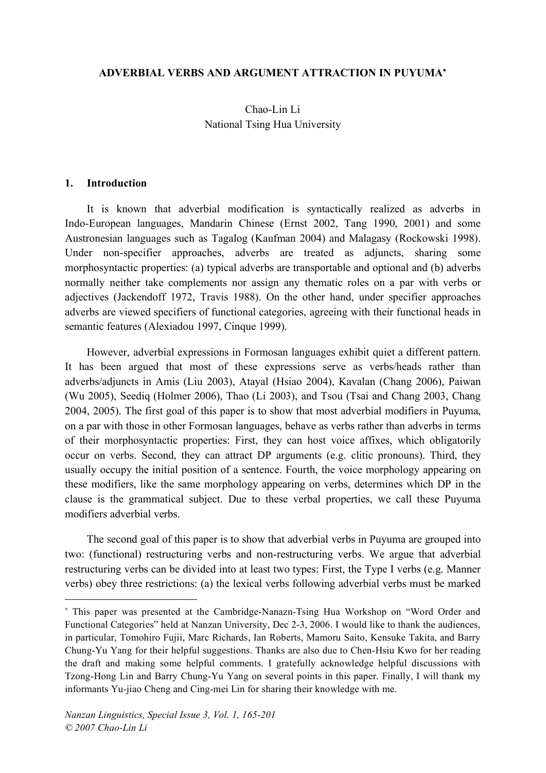#### **ADVERBIAL VERBS AND ARGUMENT ATTRACTION IN PUYUMA**<sup>∗</sup>

Chao-Lin Li National Tsing Hua University

#### **1. Introduction**

 $\overline{a}$ 

It is known that adverbial modification is syntactically realized as adverbs in Indo-European languages, Mandarin Chinese (Ernst 2002, Tang 1990, 2001) and some Austronesian languages such as Tagalog (Kaufman 2004) and Malagasy (Rockowski 1998). Under non-specifier approaches, adverbs are treated as adjuncts, sharing some morphosyntactic properties: (a) typical adverbs are transportable and optional and (b) adverbs normally neither take complements nor assign any thematic roles on a par with verbs or adjectives (Jackendoff 1972, Travis 1988). On the other hand, under specifier approaches adverbs are viewed specifiers of functional categories, agreeing with their functional heads in semantic features (Alexiadou 1997, Cinque 1999).

However, adverbial expressions in Formosan languages exhibit quiet a different pattern. It has been argued that most of these expressions serve as verbs/heads rather than adverbs/adjuncts in Amis (Liu 2003), Atayal (Hsiao 2004), Kavalan (Chang 2006), Paiwan (Wu 2005), Seediq (Holmer 2006), Thao (Li 2003), and Tsou (Tsai and Chang 2003, Chang 2004, 2005). The first goal of this paper is to show that most adverbial modifiers in Puyuma, on a par with those in other Formosan languages, behave as verbs rather than adverbs in terms of their morphosyntactic properties: First, they can host voice affixes, which obligatorily occur on verbs. Second, they can attract DP arguments (e.g. clitic pronouns). Third, they usually occupy the initial position of a sentence. Fourth, the voice morphology appearing on these modifiers, like the same morphology appearing on verbs, determines which DP in the clause is the grammatical subject. Due to these verbal properties, we call these Puyuma modifiers adverbial verbs.

The second goal of this paper is to show that adverbial verbs in Puyuma are grouped into two: (functional) restructuring verbs and non-restructuring verbs. We argue that adverbial restructuring verbs can be divided into at least two types: First, the Type I verbs (e.g. Manner verbs) obey three restrictions: (a) the lexical verbs following adverbial verbs must be marked

<sup>∗</sup> This paper was presented at the Cambridge-Nanazn-Tsing Hua Workshop on "Word Order and Functional Categories" held at Nanzan University, Dec 2-3, 2006. I would like to thank the audiences, in particular, Tomohiro Fujii, Marc Richards, Ian Roberts, Mamoru Saito, Kensuke Takita, and Barry Chung-Yu Yang for their helpful suggestions. Thanks are also due to Chen-Hsiu Kwo for her reading the draft and making some helpful comments. I gratefully acknowledge helpful discussions with Tzong-Hong Lin and Barry Chung-Yu Yang on several points in this paper. Finally, I will thank my informants Yu-jiao Cheng and Cing-mei Lin for sharing their knowledge with me.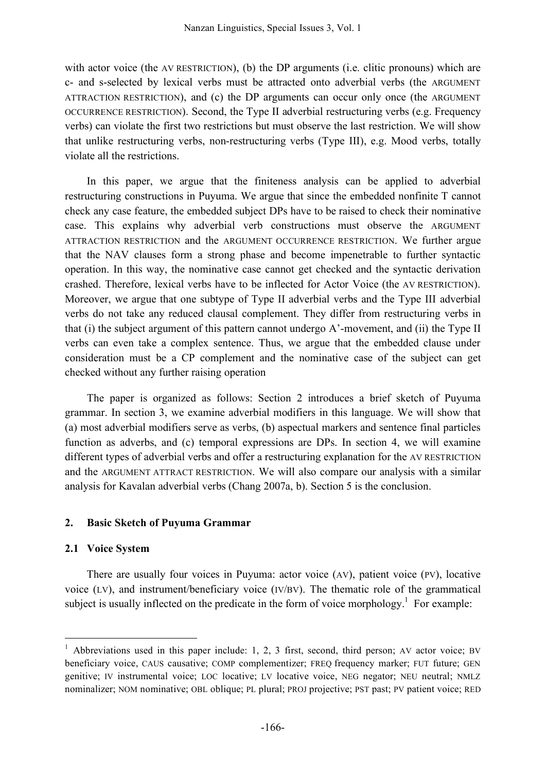with actor voice (the AV RESTRICTION), (b) the DP arguments (i.e. clitic pronouns) which are c- and s-selected by lexical verbs must be attracted onto adverbial verbs (the ARGUMENT ATTRACTION RESTRICTION), and (c) the DP arguments can occur only once (the ARGUMENT OCCURRENCE RESTRICTION). Second, the Type II adverbial restructuring verbs (e.g. Frequency verbs) can violate the first two restrictions but must observe the last restriction. We will show that unlike restructuring verbs, non-restructuring verbs (Type III), e.g. Mood verbs, totally violate all the restrictions.

In this paper, we argue that the finiteness analysis can be applied to adverbial restructuring constructions in Puyuma. We argue that since the embedded nonfinite T cannot check any case feature, the embedded subject DPs have to be raised to check their nominative case. This explains why adverbial verb constructions must observe the ARGUMENT ATTRACTION RESTRICTION and the ARGUMENT OCCURRENCE RESTRICTION. We further argue that the NAV clauses form a strong phase and become impenetrable to further syntactic operation. In this way, the nominative case cannot get checked and the syntactic derivation crashed. Therefore, lexical verbs have to be inflected for Actor Voice (the AV RESTRICTION). Moreover, we argue that one subtype of Type II adverbial verbs and the Type III adverbial verbs do not take any reduced clausal complement. They differ from restructuring verbs in that (i) the subject argument of this pattern cannot undergo A'-movement, and (ii) the Type II verbs can even take a complex sentence. Thus, we argue that the embedded clause under consideration must be a CP complement and the nominative case of the subject can get checked without any further raising operation

The paper is organized as follows: Section 2 introduces a brief sketch of Puyuma grammar. In section 3, we examine adverbial modifiers in this language. We will show that (a) most adverbial modifiers serve as verbs, (b) aspectual markers and sentence final particles function as adverbs, and (c) temporal expressions are DPs. In section 4, we will examine different types of adverbial verbs and offer a restructuring explanation for the AV RESTRICTION and the ARGUMENT ATTRACT RESTRICTION. We will also compare our analysis with a similar analysis for Kavalan adverbial verbs (Chang 2007a, b). Section 5 is the conclusion.

### **2. Basic Sketch of Puyuma Grammar**

### **2.1 Voice System**

There are usually four voices in Puyuma: actor voice (AV), patient voice (PV), locative voice (LV), and instrument/beneficiary voice (IV/BV). The thematic role of the grammatical subject is usually inflected on the predicate in the form of voice morphology.<sup>1</sup> For example:

<sup>&</sup>lt;sup>1</sup> Abbreviations used in this paper include: 1, 2, 3 first, second, third person; AV actor voice; BV beneficiary voice, CAUS causative; COMP complementizer; FREQ frequency marker; FUT future; GEN genitive; IV instrumental voice; LOC locative; LV locative voice, NEG negator; NEU neutral; NMLZ nominalizer; NOM nominative; OBL oblique; PL plural; PROJ projective; PST past; PV patient voice; RED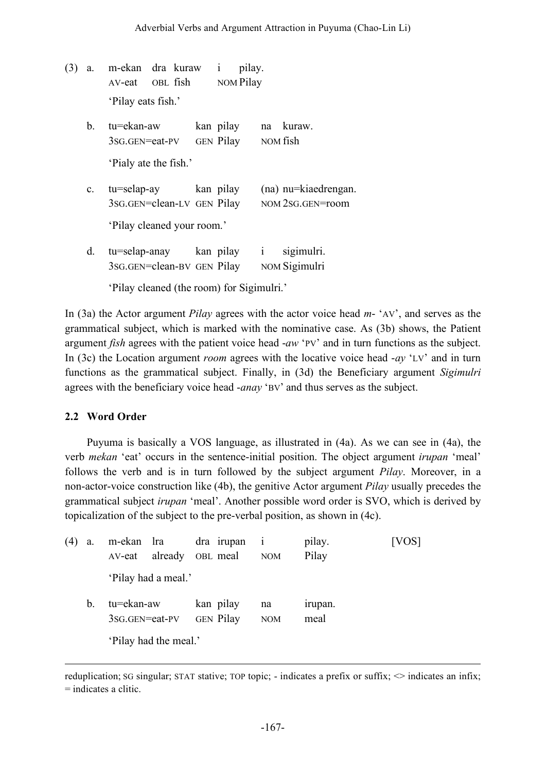- (3) a. m-ekan dra kuraw i pilay. AV-eat OBL fish NOM Pilay 'Pilay eats fish.'
	- b. tu=ekan-aw kan pilay na kuraw. 3SG.GEN=eat-PV GEN Pilay NOM fish 'Pialy ate the fish.'
	- c. tu=selap-ay kan pilay (na) nu=kiaedrengan. 3SG.GEN=clean-LV GEN Pilay NOM 2SG.GEN=room 'Pilay cleaned your room.'
	- d. tu=selap-anay kan pilay i sigimulri. 3SG.GEN=clean-BV GEN Pilay NOM Sigimulri

'Pilay cleaned (the room) for Sigimulri.'

In (3a) the Actor argument *Pilay* agrees with the actor voice head *m*- 'AV', and serves as the grammatical subject, which is marked with the nominative case. As (3b) shows, the Patient argument *fish* agrees with the patient voice head -*aw* 'PV' and in turn functions as the subject. In (3c) the Location argument *room* agrees with the locative voice head -*ay* 'LV' and in turn functions as the grammatical subject. Finally, in (3d) the Beneficiary argument *Sigimulri* agrees with the beneficiary voice head -*anay* 'BV' and thus serves as the subject.

## **2.2 Word Order**

<u>.</u>

Puyuma is basically a VOS language, as illustrated in (4a). As we can see in (4a), the verb *mekan* 'eat' occurs in the sentence-initial position. The object argument *irupan* 'meal' follows the verb and is in turn followed by the subject argument *Pilay*. Moreover, in a non-actor-voice construction like (4b), the genitive Actor argument *Pilay* usually precedes the grammatical subject *irupan* 'meal'. Another possible word order is SVO, which is derived by topicalization of the subject to the pre-verbal position, as shown in (4c).

| a. | m-ekan lra<br>AV-eat         | already               | dra irupan i<br>OBL meal      | <b>NOM</b>       | pilay.<br>Pilay | VOS |
|----|------------------------------|-----------------------|-------------------------------|------------------|-----------------|-----|
|    |                              | 'Pilay had a meal.'   |                               |                  |                 |     |
| b. | tu=ekan-aw<br>3sG.GEN=eat-PV |                       | kan pilay<br><b>GEN Pilay</b> | na<br><b>NOM</b> | irupan.<br>meal |     |
|    |                              | 'Pilay had the meal.' |                               |                  |                 |     |

reduplication; SG singular; STAT stative; TOP topic; - indicates a prefix or suffix;  $\sim$  indicates an infix; = indicates a clitic.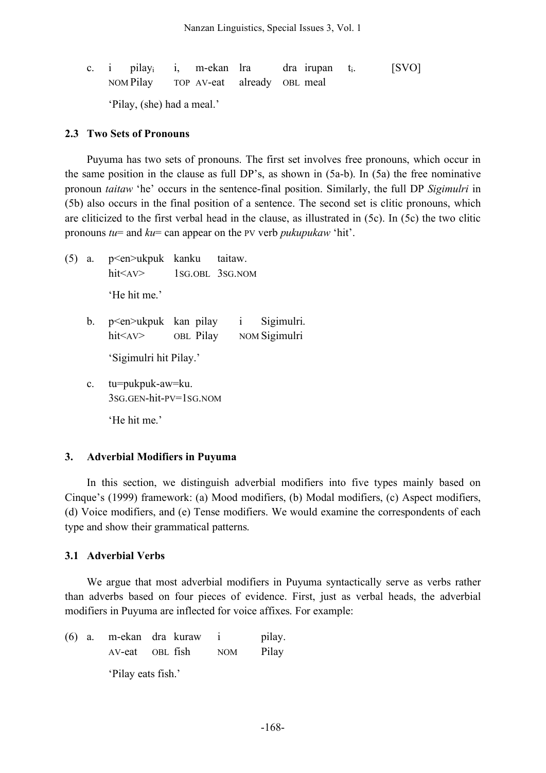c. i pilay<sub>i</sub> i, m-ekan lra dra irupan t<sub>i</sub>. [SVO] NOM Pilay TOP AV-eat already OBL meal 'Pilay, (she) had a meal.'

#### **2.3 Two Sets of Pronouns**

Puyuma has two sets of pronouns. The first set involves free pronouns, which occur in the same position in the clause as full DP's, as shown in (5a-b). In (5a) the free nominative pronoun *taitaw* 'he' occurs in the sentence-final position. Similarly, the full DP *Sigimulri* in (5b) also occurs in the final position of a sentence. The second set is clitic pronouns, which are cliticized to the first verbal head in the clause, as illustrated in (5c). In (5c) the two clitic pronouns *tu*= and *ku*= can appear on the PV verb *pukupukaw* 'hit'.

- (5) a. p<en>ukpuk kanku taitaw. hit<AV> 1SG.OBL 3SG.NOM 'He hit me.'
	- b. p<en>ukpuk kan pilay i Sigimulri. hit<AV> OBL Pilay NOM Sigimulri

'Sigimulri hit Pilay.'

c. tu=pukpuk-aw=ku. 3SG.GEN-hit-PV=1SG.NOM

'He hit me'

### **3. Adverbial Modifiers in Puyuma**

In this section, we distinguish adverbial modifiers into five types mainly based on Cinque's (1999) framework: (a) Mood modifiers, (b) Modal modifiers, (c) Aspect modifiers, (d) Voice modifiers, and (e) Tense modifiers. We would examine the correspondents of each type and show their grammatical patterns.

### **3.1 Adverbial Verbs**

We argue that most adverbial modifiers in Puyuma syntactically serve as verbs rather than adverbs based on four pieces of evidence. First, just as verbal heads, the adverbial modifiers in Puyuma are inflected for voice affixes. For example:

(6) a. m-ekan dra kuraw i pilay. AV-eat OBL fish NOM Pilay 'Pilay eats fish.'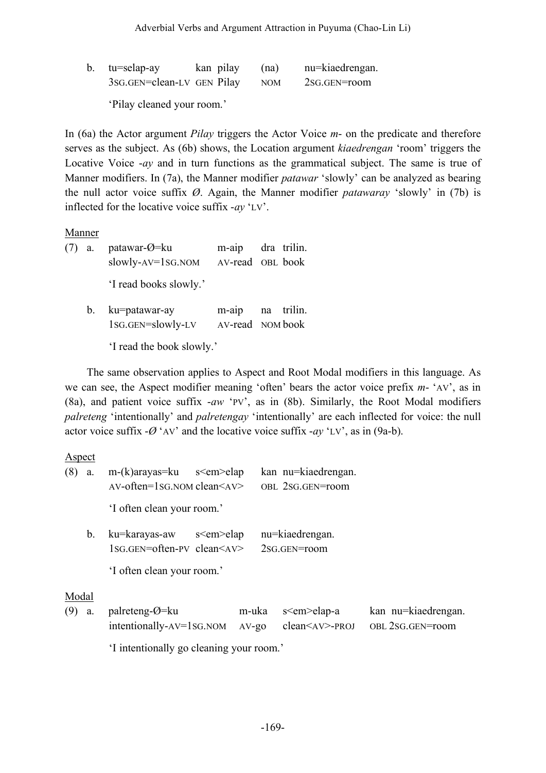| b. tu=selap-ay             | kan pilay | (na)       | nu=kiaedrengan. |
|----------------------------|-----------|------------|-----------------|
| 3sG.GEN=clean-LV GEN Pilay |           | <b>NOM</b> | 2SG.GEN=room    |

'Pilay cleaned your room.'

In (6a) the Actor argument *Pilay* triggers the Actor Voice *m*- on the predicate and therefore serves as the subject. As (6b) shows, the Location argument *kiaedrengan* 'room' triggers the Locative Voice -*ay* and in turn functions as the grammatical subject. The same is true of Manner modifiers. In (7a), the Manner modifier *patawar* 'slowly' can be analyzed as bearing the null actor voice suffix *Ø*. Again, the Manner modifier *patawaray* 'slowly' in (7b) is inflected for the locative voice suffix -*ay* 'LV'.

### **Manner**

(7) a. patawar-Ø=ku m-aip dra trilin. slowly-AV=1SG.NOM AV-read OBL book 'I read books slowly.' b. ku=patawar-ay m-aip na trilin. 1SG.GEN=slowly-LV AV-read NOM book

'I read the book slowly.'

The same observation applies to Aspect and Root Modal modifiers in this language. As we can see, the Aspect modifier meaning 'often' bears the actor voice prefix *m*- 'AV', as in (8a), and patient voice suffix -*aw* 'PV', as in (8b). Similarly, the Root Modal modifiers *palreteng* 'intentionally' and *palretengay* 'intentionally' are each inflected for voice: the null actor voice suffix  $-\varnothing$  'AV' and the locative voice suffix  $-ay$  'LV', as in (9a-b).

#### Aspect

| (8)          | a. | $m-(k)$ arayas=ku s $\leq$ em $>$ elap<br>$AV\text{-}often=1SG. NOM clean < AV$ |                  |                  | kan nu=kiaedrengan.<br>OBL 2SG.GEN=room                      |                                         |
|--------------|----|---------------------------------------------------------------------------------|------------------|------------------|--------------------------------------------------------------|-----------------------------------------|
|              |    | 'I often clean your room.'                                                      |                  |                  |                                                              |                                         |
|              | b. | ku=karayas-aw<br>$1SG.GEN = often-PV$ clean $\leq$ AV $>$                       | s <em> elap</em> |                  | nu=kiaedrengan.<br>2sG.GEN=room                              |                                         |
|              |    | 'I often clean your room.'                                                      |                  |                  |                                                              |                                         |
| Modal<br>(9) | a. | palreteng- $\varnothing$ =ku<br>$intentionally-AV=1SG. NOM$                     |                  | m-uka<br>$AV-go$ | s <em> elap-a<br/><math>clean &lt; AV &gt; -PROJ</math></em> | kan nu=kiaedrengan.<br>OBL 2SG.GEN=room |

'I intentionally go cleaning your room.'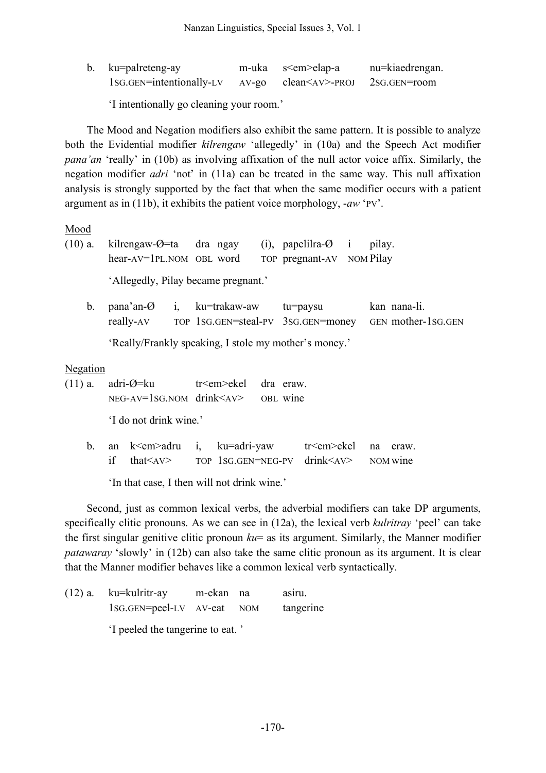| b. ku=palreteng-ay                                               | m-uka s <em>elap-a</em> | nu=kiaedrengan. |
|------------------------------------------------------------------|-------------------------|-----------------|
| 1sG.GEN=intentionally-LV AV-go clean <av>-PROJ 2SG.GEN=room</av> |                         |                 |

'I intentionally go cleaning your room.'

The Mood and Negation modifiers also exhibit the same pattern. It is possible to analyze both the Evidential modifier *kilrengaw* 'allegedly' in (10a) and the Speech Act modifier *pana'an* 'really' in (10b) as involving affixation of the null actor voice affix. Similarly, the negation modifier *adri* 'not' in (11a) can be treated in the same way. This null affixation analysis is strongly supported by the fact that when the same modifier occurs with a patient argument as in (11b), it exhibits the patient voice morphology, -*aw* 'PV'.

Mood

(10) a. kilrengaw-Ø=ta dra ngay (i), papelilra-Ø i pilay. hear-AV=1PL.NOM OBL word TOP pregnant-AV NOM Pilay 'Allegedly, Pilay became pregnant.' b. pana'an-Ø i, ku=trakaw-aw tu=paysu kan nana-li. really-AV TOP 1SG.GEN=steal-PV 3SG.GEN=money GEN mother-1SG.GEN 'Really/Frankly speaking, I stole my mother's money.'

**Negation** 

- (11) a. adri- $\mathcal{O}$ =ku tr<em>ekel dra eraw. NEG-AV=1SG.NOM drink<AV> OBL wine 'I do not drink wine.'
	- b. an k<em>adru i, ku=adri-yaw tr<em>ekel na eraw. if that<AV> TOP 1SG.GEN=NEG-PV drink<AV> NOM wine

'In that case, I then will not drink wine.'

Second, just as common lexical verbs, the adverbial modifiers can take DP arguments, specifically clitic pronouns. As we can see in (12a), the lexical verb *kulritray* 'peel' can take the first singular genitive clitic pronoun *ku*= as its argument. Similarly, the Manner modifier *patawaray* 'slowly' in (12b) can also take the same clitic pronoun as its argument. It is clear that the Manner modifier behaves like a common lexical verb syntactically.

|  | $(12)$ a. ku=kulritr-ay          | m-ekan na |  | asıru.    |
|--|----------------------------------|-----------|--|-----------|
|  | 1sG.GEN=peel-LV AV-eat NOM       |           |  | tangerine |
|  | 'I peeled the tangerine to eat.' |           |  |           |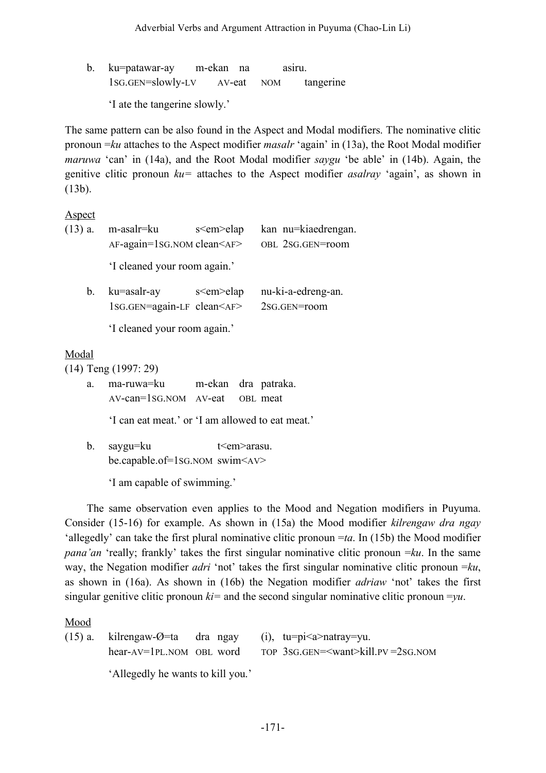b. ku=patawar-ay m-ekan na asiru. 1SG.GEN=slowly-LV AV-eat NOM tangerine

'I ate the tangerine slowly.'

The same pattern can be also found in the Aspect and Modal modifiers. The nominative clitic pronoun =*ku* attaches to the Aspect modifier *masalr* 'again' in (13a), the Root Modal modifier *maruwa* 'can' in (14a), and the Root Modal modifier *saygu* 'be able' in (14b). Again, the genitive clitic pronoun *ku=* attaches to the Aspect modifier *asalray* 'again', as shown in (13b).

Aspect

| $(13)$ a. | m-asalr=ku                                      | s <em>elap</em>  | kan nu=kiaedrengan. |
|-----------|-------------------------------------------------|------------------|---------------------|
|           | $AF\text{-}again=1$ SG. NOM clean $\leq$ AF $>$ |                  | OBL 2SG.GEN=room    |
|           | 'I cleaned your room again.'                    |                  |                     |
| $b_{-}$   | ku=asalr-ay                                     | s <em> elap</em> | nu-ki-a-edreng-an.  |
|           | 1SG.GEN=again-LF clean <af></af>                |                  | 2sG.GEN=room        |

'I cleaned your room again.'

## Modal

(14) Teng (1997: 29)

a. ma-ruwa=ku m-ekan dra patraka. AV-can=1SG.NOM AV-eat OBL meat

'I can eat meat.' or 'I am allowed to eat meat.'

b. saygu=ku t em arasu. be.capable.of=1SG.NOM swim<AV>

'I am capable of swimming.'

The same observation even applies to the Mood and Negation modifiers in Puyuma. Consider (15-16) for example. As shown in (15a) the Mood modifier *kilrengaw dra ngay* 'allegedly' can take the first plural nominative clitic pronoun =*ta*. In (15b) the Mood modifier *pana'an* 'really; frankly' takes the first singular nominative clitic pronoun =*ku*. In the same way, the Negation modifier *adri* 'not' takes the first singular nominative clitic pronoun =*ku*, as shown in (16a). As shown in (16b) the Negation modifier *adriaw* 'not' takes the first singular genitive clitic pronoun  $ki=$  and the second singular nominative clitic pronoun  $=$ *yu*.

Mood

(15) a. kilrengaw-Ø=ta dra ngay (i), tu=pi $\leq$ a>natray=yu. hear-AV=1PL.NOM OBL word TOP 3SG.GEN=<want>kill.PV =2SG.NOM

'Allegedly he wants to kill you.'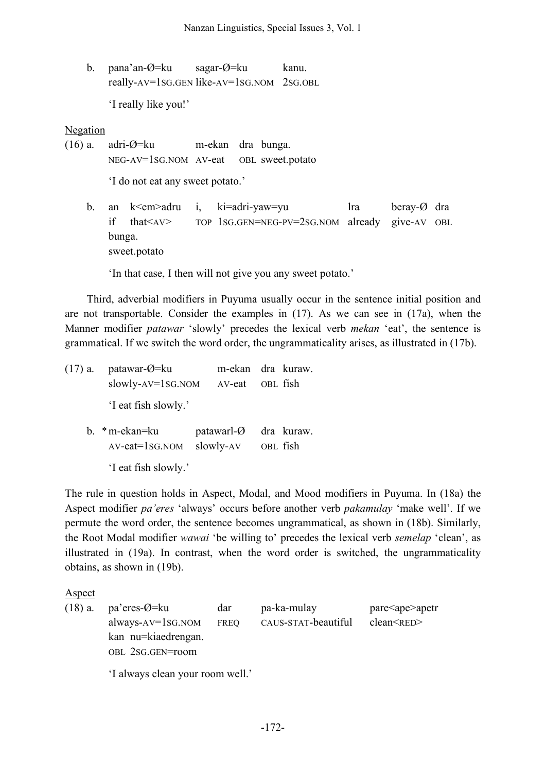b. pana'an-Ø=ku sagar-Ø=ku kanu. really-AV=1SG.GEN like-AV=1SG.NOM 2SG.OBL

'I really like you!'

Negation

(16) a. adri-Ø=ku m-ekan dra bunga. NEG-AV=1SG.NOM AV-eat OBL sweet.potato

'I do not eat any sweet potato.'

b. an k<em>adru i, ki=adri-yaw=yu lra beray-Ø dra if that<AV> TOP 1SG.GEN=NEG-PV=2SG.NOM already give-AV OBL bunga. sweet.potato

'In that case, I then will not give you any sweet potato.'

Third, adverbial modifiers in Puyuma usually occur in the sentence initial position and are not transportable. Consider the examples in (17). As we can see in (17a), when the Manner modifier *patawar* 'slowly' precedes the lexical verb *mekan* 'eat', the sentence is grammatical. If we switch the word order, the ungrammaticality arises, as illustrated in (17b).

(17) a. patawar-Ø=ku m-ekan dra kuraw. slowly-AV=1SG.NOM AV-eat OBL fish 'I eat fish slowly.' b. \*m-ekan=ku patawarl-Ø dra kuraw. AV-eat=1SG.NOM slowly-AV OBL fish

'I eat fish slowly.'

The rule in question holds in Aspect, Modal, and Mood modifiers in Puyuma. In (18a) the Aspect modifier *pa'eres* 'always' occurs before another verb *pakamulay* 'make well'. If we permute the word order, the sentence becomes ungrammatical, as shown in (18b). Similarly, the Root Modal modifier *wawai* 'be willing to' precedes the lexical verb *semelap* 'clean', as illustrated in (19a). In contrast, when the word order is switched, the ungrammaticality obtains, as shown in (19b).

Aspect

(18) a. pa'eres- $\emptyset$ =ku dar pa-ka-mulay pare<ape>apetr always-AV=1SG.NOM FREQ CAUS-STAT-beautiful clean<RED> kan nu=kiaedrengan. OBL 2SG.GEN=room

'I always clean your room well.'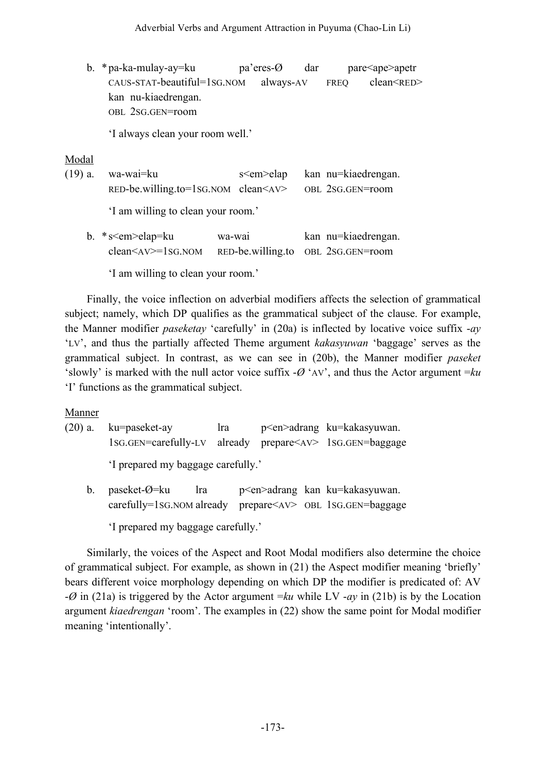b. \*pa-ka-mulay-ay=ku pa'eres-Ø dar pare<ape>apetr CAUS-STAT-beautiful=1SG.NOM always-AV FREQ clean<RED> kan nu-kiaedrengan. OBL 2SG.GEN=room

'I always clean your room well.'

## Modal

(19) a. wa-wai=ku s<em>elap kan nu=kiaedrengan. RED-be.willing.to=1SG.NOM clean<AV> OBL 2SG.GEN=room

'I am willing to clean your room.'

b. \*s<em>elap=ku wa-wai kan nu=kiaedrengan. clean<AV>=1SG.NOM RED-be.willing.to OBL 2SG.GEN=room

'I am willing to clean your room.'

Finally, the voice inflection on adverbial modifiers affects the selection of grammatical subject; namely, which DP qualifies as the grammatical subject of the clause. For example, the Manner modifier *paseketay* 'carefully' in (20a) is inflected by locative voice suffix -*ay* 'LV', and thus the partially affected Theme argument *kakasyuwan* 'baggage' serves as the grammatical subject. In contrast, as we can see in (20b), the Manner modifier *paseket* 'slowly' is marked with the null actor voice suffix  $-\varnothing$  'AV', and thus the Actor argument  $=k\varnothing$ 'I' functions as the grammatical subject.

## **Manner**

(20) a. ku=paseket-ay lra p<en>adrang ku=kakasyuwan. 1SG.GEN=carefully-LV already prepare<AV> 1SG.GEN=baggage 'I prepared my baggage carefully.'

- b. paseket-Ø=ku lra p<en>adrang kan ku=kakasyuwan. carefully=1SG.NOM already prepare<AV> OBL 1SG.GEN=baggage
	- 'I prepared my baggage carefully.'

Similarly, the voices of the Aspect and Root Modal modifiers also determine the choice of grammatical subject. For example, as shown in (21) the Aspect modifier meaning 'briefly' bears different voice morphology depending on which DP the modifier is predicated of: AV -*Ø* in (21a) is triggered by the Actor argument =*ku* while LV -*ay* in (21b) is by the Location argument *kiaedrengan* 'room'. The examples in (22) show the same point for Modal modifier meaning 'intentionally'.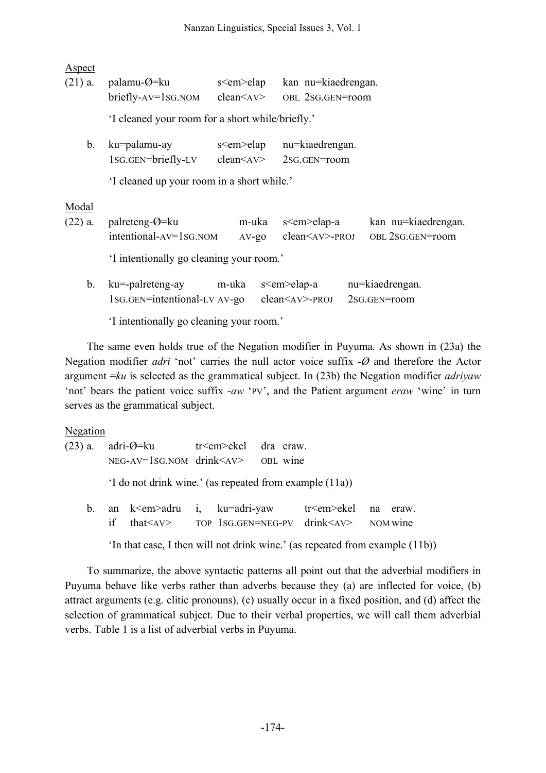Aspect

| $(21)$ a. | palamu- $\varnothing$ =ku<br>$briefly-AV=1SG. NOM$     | s <em>elap<br/>clean &lt; AV&gt;</em> |                   | kan nu=kiaedrengan.<br>OBL 2SG.GEN=room                     |                                         |
|-----------|--------------------------------------------------------|---------------------------------------|-------------------|-------------------------------------------------------------|-----------------------------------------|
|           | 'I cleaned your room for a short while/briefly.'       |                                       |                   |                                                             |                                         |
| b.        | ku=palamu-ay<br>1sg.gen=briefly-LV                     | s <em>elap<br/>clean &lt; AV&gt;</em> |                   | nu=kiaedrengan.<br>2sG.GEN=room                             |                                         |
|           | 'I cleaned up your room in a short while.'             |                                       |                   |                                                             |                                         |
| Modal     |                                                        |                                       |                   |                                                             |                                         |
| $(22)$ a. | palreteng- $\varnothing$ =ku<br>intentional-AV=1SG.NOM |                                       | m-uka<br>$AV$ -go | s <em>elap-a<br/><math>clean &lt; AV &gt; -PROJ</math></em> | kan nu=kiaedrengan.<br>OBL 2SG.GEN=room |
|           | 'I intentionally go cleaning your room.'               |                                       |                   |                                                             |                                         |
| b.        | ku=-palreteng-ay<br>1sg.gen=intentional-LV AV-go       | m-uka                                 |                   | s <em>elap-a<br/><math>clean &lt; AV &gt; -PROJ</math></em> | nu=kiaedrengan.<br>2sg.GEN=room         |

'I intentionally go cleaning your room.' The same even holds true of the Negation modifier in Puyuma. As shown in (23a) the Negation modifier *adri* 'not' carries the null actor voice suffix -*Ø* and therefore the Actor argument =*ku* is selected as the grammatical subject. In (23b) the Negation modifier *adriyaw* 'not' bears the patient voice suffix -*aw* 'PV', and the Patient argument *eraw* 'wine' in turn serves as the grammatical subject.

Negation (23) a. adri- $\varnothing$ =ku tr<em>ekel dra eraw. NEG-AV=1SG.NOM drink<AV> OBL wine 'I do not drink wine.' (as repeated from example (11a)) b. an k<em>adru i, ku=adri-yaw tr<em>ekel na eraw. if that<AV> TOP 1SG.GEN=NEG-PV drink<AV> NOM wine 'In that case, I then will not drink wine.' (as repeated from example (11b))

To summarize, the above syntactic patterns all point out that the adverbial modifiers in Puyuma behave like verbs rather than adverbs because they (a) are inflected for voice, (b) attract arguments (e.g. clitic pronouns), (c) usually occur in a fixed position, and (d) affect the selection of grammatical subject. Due to their verbal properties, we will call them adverbial verbs. Table 1 is a list of adverbial verbs in Puyuma.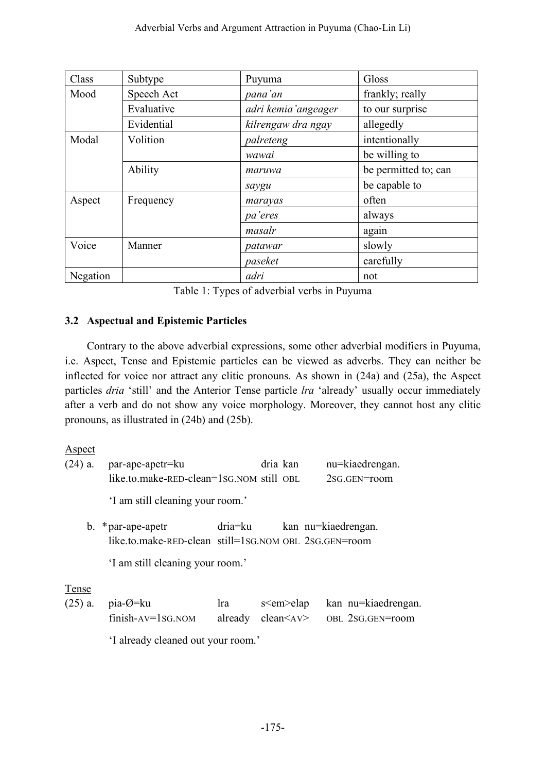| Class    | Subtype    | Puyuma              | Gloss                |
|----------|------------|---------------------|----------------------|
| Mood     | Speech Act | pana'an             | frankly; really      |
|          | Evaluative | adri kemia'angeager | to our surprise      |
|          | Evidential | kilrengaw dra ngay  | allegedly            |
| Modal    | Volition   | palreteng           | intentionally        |
|          |            | wawai               | be willing to        |
|          | Ability    | maruwa              | be permitted to; can |
|          |            | saygu               | be capable to        |
| Aspect   | Frequency  | marayas             | often                |
|          |            | pa'eres             | always               |
|          |            | masalr              | again                |
| Voice    | Manner     | patawar             | slowly               |
|          |            | paseket             | carefully            |
| Negation |            | adri                | not                  |

Table 1: Types of adverbial verbs in Puyuma

## **3.2 Aspectual and Epistemic Particles**

Contrary to the above adverbial expressions, some other adverbial modifiers in Puyuma, i.e. Aspect, Tense and Epistemic particles can be viewed as adverbs. They can neither be inflected for voice nor attract any clitic pronouns. As shown in (24a) and (25a), the Aspect particles *dria* 'still' and the Anterior Tense particle *lra* 'already' usually occur immediately after a verb and do not show any voice morphology. Moreover, they cannot host any clitic pronouns, as illustrated in (24b) and (25b).

Aspect

| $(24)$ a. | par-ape-apetr=ku                                      |         | dria kan         | nu=kiaedrengan.     |
|-----------|-------------------------------------------------------|---------|------------------|---------------------|
|           | like.to.make-RED-clean=1sG.NOM still OBL              |         |                  | 2sG.GEN=room        |
|           | 'I am still cleaning your room.'                      |         |                  |                     |
|           | b. $*$ par-ape-apetr                                  | dria=ku |                  | kan nu=kiaedrengan. |
|           | like.to.make-RED-clean still=1sG.NOM OBL 2sG.GEN=room |         |                  |                     |
|           | 'I am still cleaning your room.'                      |         |                  |                     |
| Tense     |                                                       |         |                  |                     |
| $(25)$ a. | $pia-O=ku$                                            | Ira     | s <em> elap</em> | kan nu=kiaedrengan. |

| $\mathcal{L}$ $\mu$ , $\mu$ $\mu$ $\mu$ | $\mathbf{u}$ | $v \cdot \mathbf{v}$ in $v \cdot \mathbf{v}$ | Ran na Riacarcha                         |
|-----------------------------------------|--------------|----------------------------------------------|------------------------------------------|
| $finish-AV=1SG. NOM$                    |              |                                              | already clean <av> OBL 2SG.GEN=room</av> |

'I already cleaned out your room.'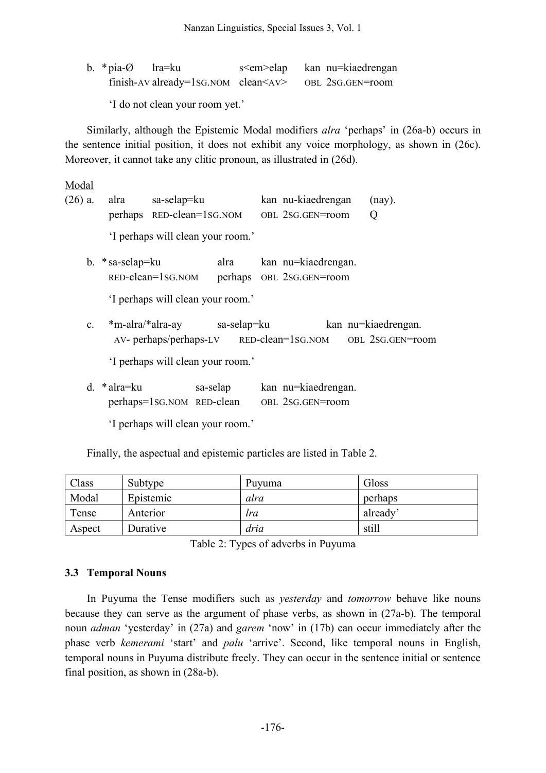b. \*pia-Ø lra=ku s<em>elap kan nu=kiaedrengan finish-AV already=1sG.NOM clean<AV> OBL 2SG.GEN=room

'I do not clean your room yet.'

Similarly, although the Epistemic Modal modifiers *alra* 'perhaps' in (26a-b) occurs in the sentence initial position, it does not exhibit any voice morphology, as shown in (26c). Moreover, it cannot take any clitic pronoun, as illustrated in (26d).

Modal

|  | (26) a. alra sa-selap=ku          | kan nu-kiaedrengan (nay). |  |
|--|-----------------------------------|---------------------------|--|
|  | perhaps RED-clean=1sG.NOM         | OBL 2SG.GEN=room          |  |
|  | 'I perhaps will clean your room.' |                           |  |

b. \*sa-selap=ku alra kan nu=kiaedrengan. RED-clean=1SG.NOM perhaps OBL 2SG.GEN=room

'I perhaps will clean your room.'

c. \*m-alra/\*alra-ay sa-selap=ku kan nu=kiaedrengan. AV- perhaps/perhaps-LV RED-clean=1SG.NOM OBL 2SG.GEN=room

'I perhaps will clean your room.'

d. \*alra=ku sa-selap kan nu=kiaedrengan. perhaps=1SG.NOM RED-clean OBL 2SG.GEN=room

'I perhaps will clean your room.'

Finally, the aspectual and epistemic particles are listed in Table 2.

| Class  | Subtype   | Puyuma     | Gloss    |
|--------|-----------|------------|----------|
| Modal  | Epistemic | alra       | perhaps  |
| Tense  | Anterior  | <i>tra</i> | already' |
| Aspect | Durative  | dria       | still    |

Table 2: Types of adverbs in Puyuma

## **3.3 Temporal Nouns**

In Puyuma the Tense modifiers such as *yesterday* and *tomorrow* behave like nouns because they can serve as the argument of phase verbs, as shown in (27a-b). The temporal noun *adman* 'yesterday' in (27a) and *garem* 'now' in (17b) can occur immediately after the phase verb *kemerami* 'start' and *palu* 'arrive'. Second, like temporal nouns in English, temporal nouns in Puyuma distribute freely. They can occur in the sentence initial or sentence final position, as shown in (28a-b).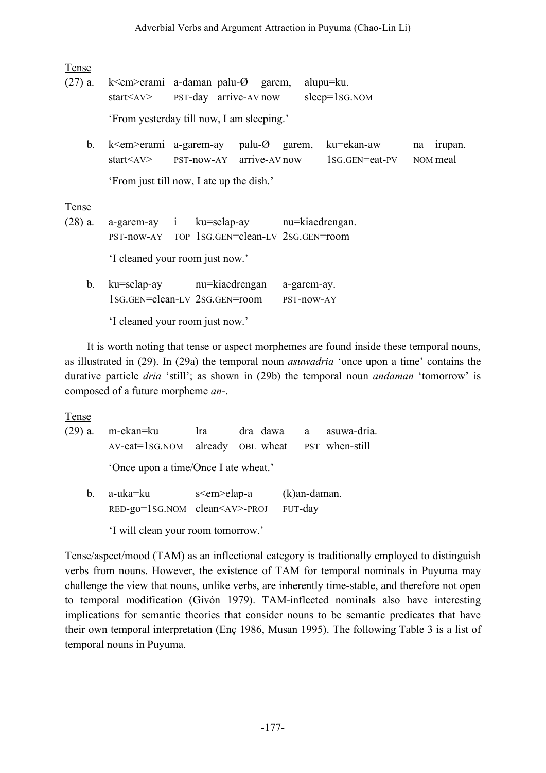| Tense                     |                                                                                                                             |                                           |  |                           |                                                                                                                                                   |                           |
|---------------------------|-----------------------------------------------------------------------------------------------------------------------------|-------------------------------------------|--|---------------------------|---------------------------------------------------------------------------------------------------------------------------------------------------|---------------------------|
| $(27)$ a.                 | k $\le$ em $\ge$ erami a-daman palu- $\oslash$ garem,<br>$\text{start}\leq A\text{V}$ PST-day arrive-AV now sleep=1sG.NOM   |                                           |  |                           | alupu=ku.                                                                                                                                         |                           |
|                           |                                                                                                                             | 'From yesterday till now, I am sleeping.' |  |                           |                                                                                                                                                   |                           |
| b.                        |                                                                                                                             |                                           |  |                           | k <em>erami a-garem-ay palu-Ø garem, ku=ekan-aw<br/><math>\text{start}\leq</math>AV&gt; PST-now-AY arrive-AV now <math>1</math>SG.GEN=eat-PV</em> | irupan.<br>na<br>NOM meal |
|                           |                                                                                                                             | 'From just till now, I ate up the dish.'  |  |                           |                                                                                                                                                   |                           |
| <b>Tense</b><br>$(28)$ a. | a-garem-ay i ku=selap-ay nu=kiaedrengan.<br>PST-now-AY TOP 1SG.GEN=clean-LV 2SG.GEN=room<br>'I cleaned your room just now.' |                                           |  |                           |                                                                                                                                                   |                           |
| $b_{-}$                   | ku=selap-ay nu=kiaedrengan                                                                                                  | 1sg.gen=clean-LV 2sg.gen=room             |  | a-garem-ay.<br>PST-now-AY |                                                                                                                                                   |                           |
|                           |                                                                                                                             | 'I cleaned your room just now.'           |  |                           |                                                                                                                                                   |                           |

It is worth noting that tense or aspect morphemes are found inside these temporal nouns, as illustrated in (29). In (29a) the temporal noun *asuwadria* 'once upon a time' contains the durative particle *dria* 'still'; as shown in (29b) the temporal noun *andaman* 'tomorrow' is composed of a future morpheme *an*-.

Tense

(29) a. m-ekan=ku lra dra dawa a asuwa-dria. AV-eat=1SG.NOM already OBL wheat PST when-still 'Once upon a time/Once I ate wheat.'

b. a-uka=ku s<em>elap-a (k)an-daman. RED-go=1SG.NOM clean<AV>-PROJ FUT-day 'I will clean your room tomorrow.'

Tense/aspect/mood (TAM) as an inflectional category is traditionally employed to distinguish verbs from nouns. However, the existence of TAM for temporal nominals in Puyuma may challenge the view that nouns, unlike verbs, are inherently time-stable, and therefore not open to temporal modification (Givón 1979). TAM-inflected nominals also have interesting implications for semantic theories that consider nouns to be semantic predicates that have their own temporal interpretation (Enç 1986, Musan 1995). The following Table 3 is a list of temporal nouns in Puyuma.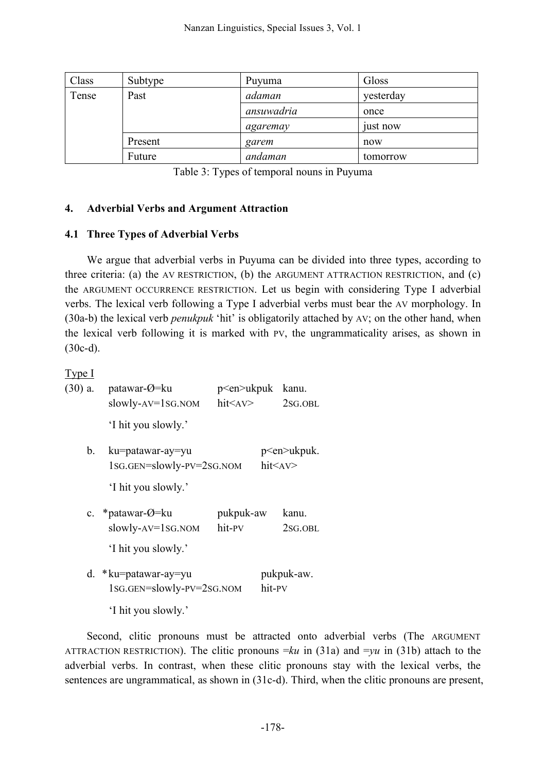| Class | Subtype | Puyuma     | Gloss     |
|-------|---------|------------|-----------|
| Tense | Past    | adaman     | yesterday |
|       |         | ansuwadria | once      |
|       |         | agaremay   | just now  |
|       | Present | garem      | now       |
|       | Future  | andaman    | tomorrow  |

Table 3: Types of temporal nouns in Puyuma

### **4. Adverbial Verbs and Argument Attraction**

### **4.1 Three Types of Adverbial Verbs**

We argue that adverbial verbs in Puyuma can be divided into three types, according to three criteria: (a) the AV RESTRICTION, (b) the ARGUMENT ATTRACTION RESTRICTION, and (c) the ARGUMENT OCCURRENCE RESTRICTION. Let us begin with considering Type I adverbial verbs. The lexical verb following a Type I adverbial verbs must bear the AV morphology. In (30a-b) the lexical verb *penukpuk* 'hit' is obligatorily attached by AV; on the other hand, when the lexical verb following it is marked with PV, the ungrammaticality arises, as shown in (30c-d).

### Type I

| $(30)$ a. | patawar- $\varnothing$ =ku<br>$slowly-AV=1SG. NOM$                               | p <en>ukpuk<br/><math>h</math>it<math>\leq</math>AV<math>&gt;</math></en> | kanu.<br>2 <sub>SG</sub> .OBL                                              |
|-----------|----------------------------------------------------------------------------------|---------------------------------------------------------------------------|----------------------------------------------------------------------------|
|           | 'I hit you slowly.'                                                              |                                                                           |                                                                            |
| b.        | ku=patawar-ay=yu<br>1sg.gen=slowly-pv=2sg.nom<br>'I hit you slowly.'             |                                                                           | p <en>ukpuk.<br/><math>h</math>it<math>\leq</math>AV<math>&gt;</math></en> |
|           | c. * patawar- $\varnothing$ =ku<br>$slowly-AV = 1SG. NOM$<br>'I hit you slowly.' | pukpuk-aw<br>hit-PV                                                       | kanu.<br>2sG.OBL                                                           |
|           | d. * ku=patawar-ay=yu<br>1sg.gen=slowly-pv=2sg.nom                               | hit-PV                                                                    | pukpuk-aw.                                                                 |
|           | 'I hit you slowly.'                                                              |                                                                           |                                                                            |

Second, clitic pronouns must be attracted onto adverbial verbs (The ARGUMENT ATTRACTION RESTRICTION). The clitic pronouns  $=ku$  in (31a) and  $=yu$  in (31b) attach to the adverbial verbs. In contrast, when these clitic pronouns stay with the lexical verbs, the sentences are ungrammatical, as shown in (31c-d). Third, when the clitic pronouns are present,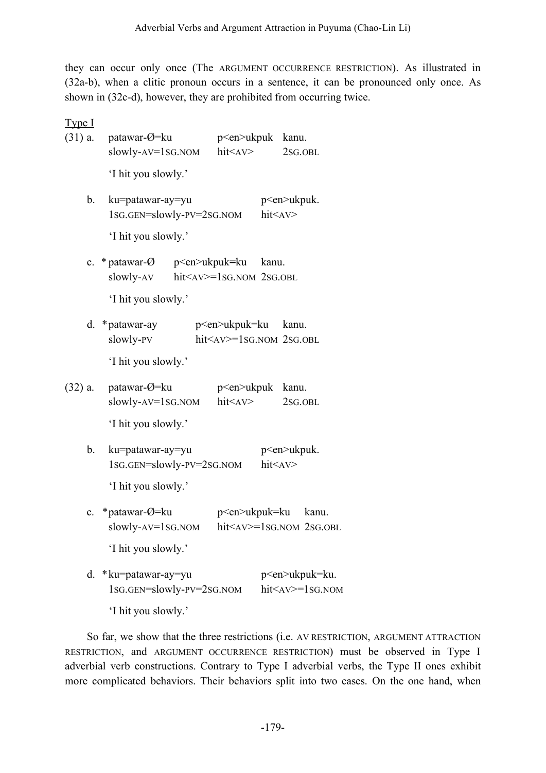they can occur only once (The ARGUMENT OCCURRENCE RESTRICTION). As illustrated in (32a-b), when a clitic pronoun occurs in a sentence, it can be pronounced only once. As shown in (32c-d), however, they are prohibited from occurring twice.

Type I (31) a. patawar- $\varnothing$ =ku p<en>ukpuk kanu. slowly-AV=1SG.NOM hit<AV> 2SG.OBL 'I hit you slowly.' b. ku=patawar-ay=yu p p p p p p p p p b. 1SG.GEN=slowly-PV=2SG.NOM hit<AV> 'I hit you slowly.' c. \* patawar-Ø p<en>ukpuk**=**ku kanu. slowly-AV hit<AV>=1SG.NOM 2SG.OBL 'I hit you slowly.' d. \*patawar-ay p<en>ukpuk=ku kanu. slowly-PV hit<AV>=1SG.NOM 2SG.OBL 'I hit you slowly.' (32) a. patawar- $\varnothing$ =ku p<en>ukpuk kanu. slowly-AV=1SG.NOM hit $\langle$ AV> 2SG.OBL 'I hit you slowly.' b. ku=patawar-ay=yu p<en>ukpuk. 1SG.GEN=slowly-PV=2SG.NOM hit<AV> 'I hit you slowly.' c. \*patawar-Ø=ku p<en>ukpuk=ku kanu. slowly-AV=1SG.NOM hit<AV>=1SG.NOM 2SG.OBL 'I hit you slowly.' d. \*ku=patawar-ay=yu p<en>ukpuk=ku. 1SG.GEN=slowly-PV=2SG.NOM hit<AV>=1SG.NOM

'I hit you slowly.'

So far, we show that the three restrictions (i.e. AV RESTRICTION, ARGUMENT ATTRACTION RESTRICTION, and ARGUMENT OCCURRENCE RESTRICTION) must be observed in Type I adverbial verb constructions. Contrary to Type I adverbial verbs, the Type II ones exhibit more complicated behaviors. Their behaviors split into two cases. On the one hand, when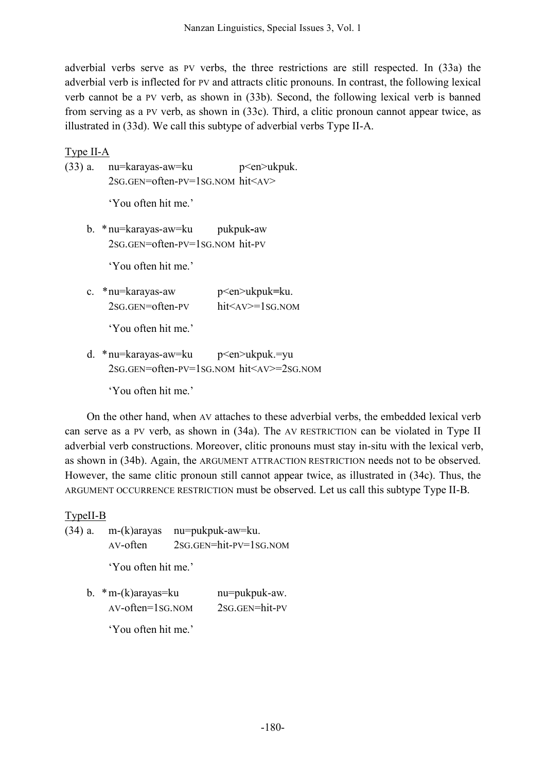adverbial verbs serve as PV verbs, the three restrictions are still respected. In (33a) the adverbial verb is inflected for PV and attracts clitic pronouns. In contrast, the following lexical verb cannot be a PV verb, as shown in (33b). Second, the following lexical verb is banned from serving as a PV verb, as shown in (33c). Third, a clitic pronoun cannot appear twice, as illustrated in (33d). We call this subtype of adverbial verbs Type II-A.

## Type II-A

(33) a. nu=karayas-aw=ku p<en>ukpuk. 2SG.GEN=often-PV=1SG.NOM hit<AV>

'You often hit me.'

b. \*nu=karayas-aw=ku pukpuk**-**aw 2SG.GEN=often-PV=1SG.NOM hit-PV

'You often hit me.'

c. \*nu=karayas-aw p<en>ukpuk**=**ku. 2SG.GEN=often-PV hit<AV>=1SG.NOM

'You often hit me.'

d. \*nu=karayas-aw=ku p<en>ukpuk.=yu 2SG.GEN=often-PV=1SG.NOM hit<AV>=2SG.NOM

'You often hit me.'

On the other hand, when AV attaches to these adverbial verbs, the embedded lexical verb can serve as a PV verb, as shown in (34a). The AV RESTRICTION can be violated in Type II adverbial verb constructions. Moreover, clitic pronouns must stay in-situ with the lexical verb, as shown in (34b). Again, the ARGUMENT ATTRACTION RESTRICTION needs not to be observed. However, the same clitic pronoun still cannot appear twice, as illustrated in (34c). Thus, the ARGUMENT OCCURRENCE RESTRICTION must be observed. Let us call this subtype Type II-B.

# TypeII-B

(34) a. m-(k)arayas nu=pukpuk-aw=ku. AV-often 2SG.GEN=hit-PV=1SG.NOM

'You often hit me.'

b. \*m-(k)arayas=ku nu=pukpuk-aw. AV-often=1SG.NOM 2SG.GEN=hit-PV

'You often hit me.'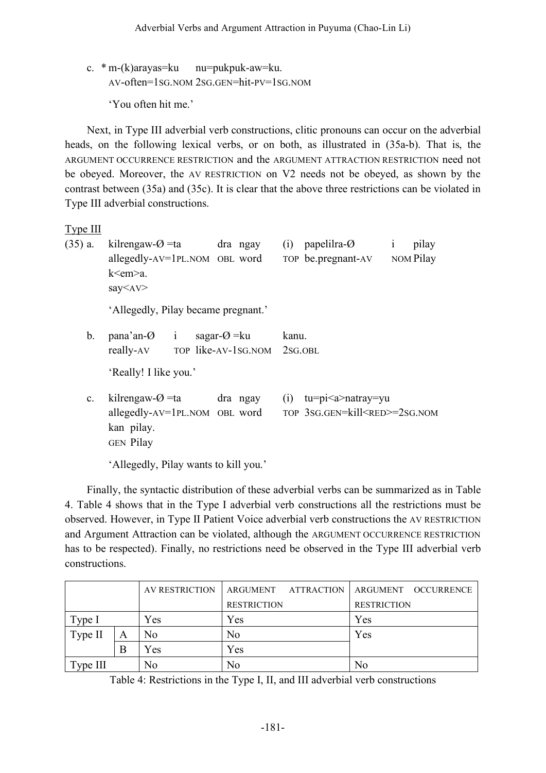c. \* m-(k)arayas=ku nu=pukpuk-aw=ku. AV-often=1SG.NOM 2SG.GEN=hit-PV=1SG.NOM

'You often hit me.'

Next, in Type III adverbial verb constructions, clitic pronouns can occur on the adverbial heads, on the following lexical verbs, or on both, as illustrated in (35a-b). That is, the ARGUMENT OCCURRENCE RESTRICTION and the ARGUMENT ATTRACTION RESTRICTION need not be obeyed. Moreover, the AV RESTRICTION on V2 needs not be obeyed, as shown by the contrast between (35a) and (35c). It is clear that the above three restrictions can be violated in Type III adverbial constructions.

Type III

| $(35)$ a.      | kilrengaw- $\varnothing$ =ta dra ngay<br>allegedly-AV=1PL.NOM OBL word<br>k <em>a.<br/>say<av></av></em>     | papelilra- $\varnothing$<br>pilay<br>(i)<br>$\mathbf{1}$<br>NOM Pilay<br>TOP be.pregnant-AV |
|----------------|--------------------------------------------------------------------------------------------------------------|---------------------------------------------------------------------------------------------|
|                | 'Allegedly, Pilay became pregnant.'                                                                          |                                                                                             |
| b.             | sagar- $\varnothing$ = ku<br>$pana'an-O$ i<br>really-AV TOP like-AV-1SG.NOM 2SG.OBL<br>'Really! I like you.' | kanu.                                                                                       |
| $\mathbf{c}$ . | kilrengaw- $\varnothing$ =ta dra ngay<br>allegedly-AV=1PL.NOM OBL word<br>kan pilay.<br><b>GEN</b> Pilay     | $tu=pi$ natray=yu<br>(i)<br>TOP 3SG.GEN=kill <red>=2SG.NOM</red>                            |
|                | 'Allegedly, Pilay wants to kill you.'                                                                        |                                                                                             |

Finally, the syntactic distribution of these adverbial verbs can be summarized as in Table 4. Table 4 shows that in the Type I adverbial verb constructions all the restrictions must be observed. However, in Type II Patient Voice adverbial verb constructions the AV RESTRICTION and Argument Attraction can be violated, although the ARGUMENT OCCURRENCE RESTRICTION has to be respected). Finally, no restrictions need be observed in the Type III adverbial verb constructions.

|          |   | AV RESTRICTION | ARGUMENT ATTRACTION | ARGUMENT OCCURRENCE |
|----------|---|----------------|---------------------|---------------------|
|          |   |                | <b>RESTRICTION</b>  | <b>RESTRICTION</b>  |
| Type 1   |   | Yes            | Yes                 | Yes                 |
| Type II  | Α | No             | N <sub>0</sub>      | Yes                 |
|          | B | Yes            | Yes                 |                     |
| Type III |   | No             | N <sub>0</sub>      | No                  |

Table 4: Restrictions in the Type I, II, and III adverbial verb constructions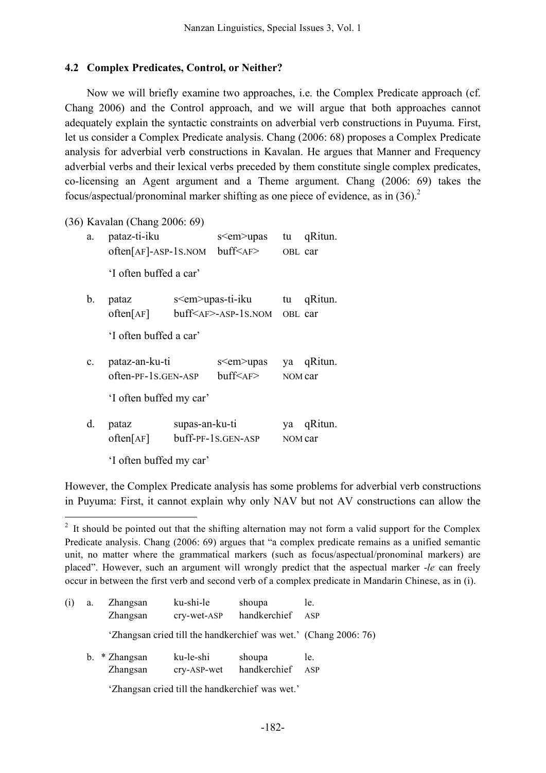#### **4.2 Complex Predicates, Control, or Neither?**

Now we will briefly examine two approaches, i.e. the Complex Predicate approach (cf. Chang 2006) and the Control approach, and we will argue that both approaches cannot adequately explain the syntactic constraints on adverbial verb constructions in Puyuma. First, let us consider a Complex Predicate analysis. Chang (2006: 68) proposes a Complex Predicate analysis for adverbial verb constructions in Kavalan. He argues that Manner and Frequency adverbial verbs and their lexical verbs preceded by them constitute single complex predicates, co-licensing an Agent argument and a Theme argument. Chang (2006: 69) takes the focus/aspectual/pronominal marker shifting as one piece of evidence, as in  $(36)^2$ 

(36) Kavalan (Chang 2006: 69)

| a.             | pataz-ti-iku                              |                        | s <em>upas</em>                                                       | tu      | qRitun.    |  |  |  |  |
|----------------|-------------------------------------------|------------------------|-----------------------------------------------------------------------|---------|------------|--|--|--|--|
|                | $often[AF]-ASP-1S.NOM$ buff $\leq$ AF $>$ |                        |                                                                       | OBL car |            |  |  |  |  |
|                | 'I often buffed a car'                    |                        |                                                                       |         |            |  |  |  |  |
| b.             | pataz                                     | s <em>upas-ti-iku</em> |                                                                       | tu      | qRitun.    |  |  |  |  |
|                | offen[AF]                                 |                        | $\text{buff}\leq_{\text{AF}}\geq_{\text{ASP}}\text{-}1\text{S}$ . NOM | OBL car |            |  |  |  |  |
|                | 'I often buffed a car'                    |                        |                                                                       |         |            |  |  |  |  |
| $\mathbf{c}$ . | pataz-an-ku-ti                            |                        | s <em>upas</em>                                                       |         | ya qRitun. |  |  |  |  |
|                | often-PF-1S.GEN-ASP                       |                        | buff < AF                                                             | NOM car |            |  |  |  |  |
|                | 'I often buffed my car'                   |                        |                                                                       |         |            |  |  |  |  |
| d.             | pataz                                     | supas-an-ku-ti         |                                                                       | ya      | qRitun.    |  |  |  |  |
|                | offen[AF]                                 | buff-PF-1S.GEN-ASP     | NOM car                                                               |         |            |  |  |  |  |
|                | 'I often buffed my car'                   |                        |                                                                       |         |            |  |  |  |  |

However, the Complex Predicate analysis has some problems for adverbial verb constructions in Puyuma: First, it cannot explain why only NAV but not AV constructions can allow the

<sup>&</sup>lt;sup>2</sup> It should be pointed out that the shifting alternation may not form a valid support for the Complex Predicate analysis. Chang (2006: 69) argues that "a complex predicate remains as a unified semantic unit, no matter where the grammatical markers (such as focus/aspectual/pronominal markers) are placed". However, such an argument will wrongly predict that the aspectual marker -*le* can freely occur in between the first verb and second verb of a complex predicate in Mandarin Chinese, as in (i).

| (i) | a. | Zhangsan        | ku-shi-le   | shoupa       | le.                                                              |
|-----|----|-----------------|-------------|--------------|------------------------------------------------------------------|
|     |    | Zhangsan        | cry-wet-ASP | handkerchief | ASP                                                              |
|     |    |                 |             |              | 'Zhangsan cried till the handkerchief was wet.' (Chang 2006: 76) |
|     |    | $b.$ * Zhangsan | ku-le-shi   | shoupa       | le.                                                              |
|     |    | Zhangsan        | cry-ASP-wet | handkerchief | ASP                                                              |

'Zhangsan cried till the handkerchief was wet.'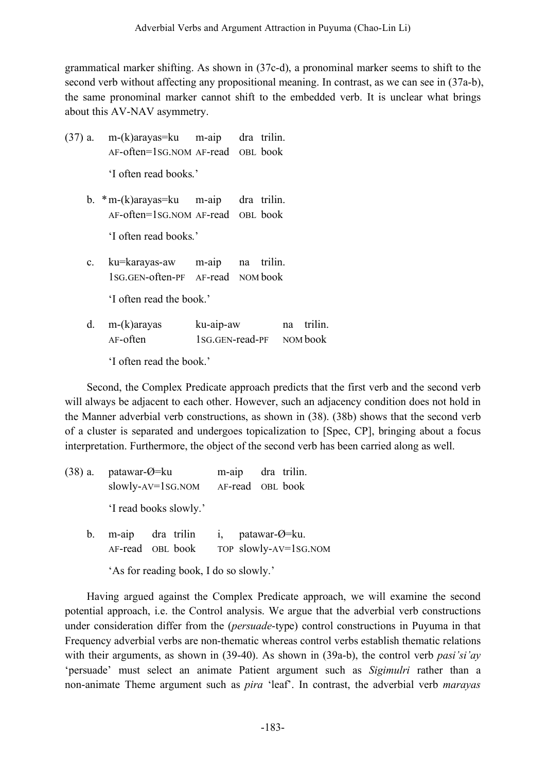grammatical marker shifting. As shown in (37c-d), a pronominal marker seems to shift to the second verb without affecting any propositional meaning. In contrast, as we can see in (37a-b), the same pronominal marker cannot shift to the embedded verb. It is unclear what brings about this AV-NAV asymmetry.

- (37) a. m-(k)arayas=ku m-aip dra trilin. AF-often=1SG.NOM AF-read OBL book 'I often read books.'
	- b. \*m-(k)arayas=ku m-aip dra trilin. AF-often=1SG.NOM AF-read OBL book

'I often read books.'

c. ku=karayas-aw m-aip na trilin. 1SG.GEN-often-PF AF-read NOM book

'I often read the book.'

d. m-(k)arayas ku-aip-aw na trilin. AF-often 1SG.GEN-read-PF NOM book

'I often read the book.'

Second, the Complex Predicate approach predicts that the first verb and the second verb will always be adjacent to each other. However, such an adjacency condition does not hold in the Manner adverbial verb constructions, as shown in (38). (38b) shows that the second verb of a cluster is separated and undergoes topicalization to [Spec, CP], bringing about a focus interpretation. Furthermore, the object of the second verb has been carried along as well.

- (38) a. patawar-Ø=ku m-aip dra trilin. slowly-AV=1SG.NOM AF-read OBL book 'I read books slowly.'
	- b. m-aip dra trilin i, patawar-Ø=ku. AF-read OBL book TOP slowly-AV=1SG.NOM

'As for reading book, I do so slowly.'

Having argued against the Complex Predicate approach, we will examine the second potential approach, i.e. the Control analysis. We argue that the adverbial verb constructions under consideration differ from the (*persuade*-type) control constructions in Puyuma in that Frequency adverbial verbs are non-thematic whereas control verbs establish thematic relations with their arguments, as shown in (39-40). As shown in (39a-b), the control verb *pasi'si'ay* 'persuade' must select an animate Patient argument such as *Sigimulri* rather than a non-animate Theme argument such as *pira* 'leaf'. In contrast, the adverbial verb *marayas*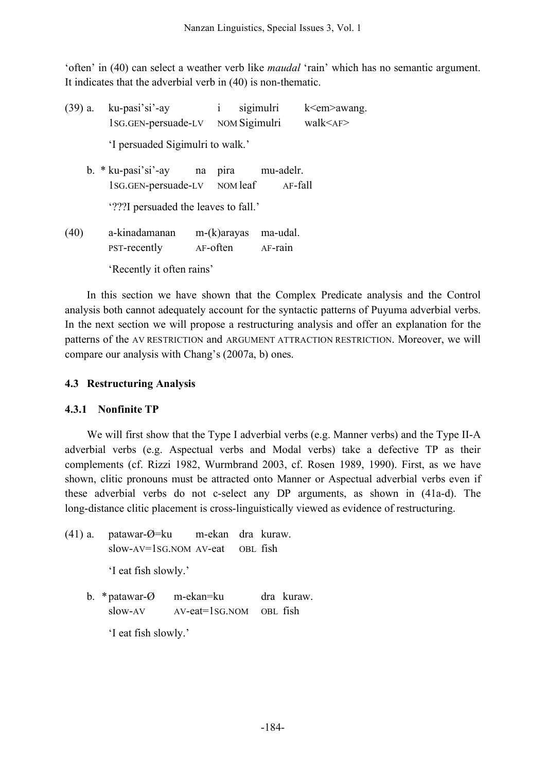'often' in (40) can select a weather verb like *maudal* 'rain' which has no semantic argument. It indicates that the adverbial verb in (40) is non-thematic.

| $(39)$ a. | ku-pasi'si'-ay<br>1sG.GEN-persuade-LV                     | $\mathbf{i}$   | sigimulri<br>NOM Sigimulri |                      | $k<$ em $>$ awang.<br>walk < AF> |
|-----------|-----------------------------------------------------------|----------------|----------------------------|----------------------|----------------------------------|
|           | 'I persuaded Sigimulri to walk.'                          |                |                            |                      |                                  |
|           | $b. * k$ u-pasi'si'-ay na<br>1sG.GEN-persuade-LV NOM leaf | pira           |                            | mu-adelr.<br>AF-fall |                                  |
|           | '???I persuaded the leaves to fall.'                      |                |                            |                      |                                  |
| (40)      | a-kinadamanan<br><b>PST-recently</b>                      | $m-(k)$ arayas | AF-often AF-rain           | ma-udal.             |                                  |
|           | 'Recently it often rains'                                 |                |                            |                      |                                  |

In this section we have shown that the Complex Predicate analysis and the Control analysis both cannot adequately account for the syntactic patterns of Puyuma adverbial verbs. In the next section we will propose a restructuring analysis and offer an explanation for the patterns of the AV RESTRICTION and ARGUMENT ATTRACTION RESTRICTION. Moreover, we will compare our analysis with Chang's (2007a, b) ones.

## **4.3 Restructuring Analysis**

### **4.3.1 Nonfinite TP**

We will first show that the Type I adverbial verbs (e.g. Manner verbs) and the Type II-A adverbial verbs (e.g. Aspectual verbs and Modal verbs) take a defective TP as their complements (cf. Rizzi 1982, Wurmbrand 2003, cf. Rosen 1989, 1990). First, as we have shown, clitic pronouns must be attracted onto Manner or Aspectual adverbial verbs even if these adverbial verbs do not c-select any DP arguments, as shown in (41a-d). The long-distance clitic placement is cross-linguistically viewed as evidence of restructuring.

- (41) a. patawar-Ø=ku m-ekan dra kuraw. slow-AV=1SG.NOM AV-eat OBL fish 'I eat fish slowly.'
	- b. \*patawar-Ø m-ekan=ku dra kuraw.  $slow-AV$   $AV-eat=1SGNOM$  OBL fish

'I eat fish slowly.'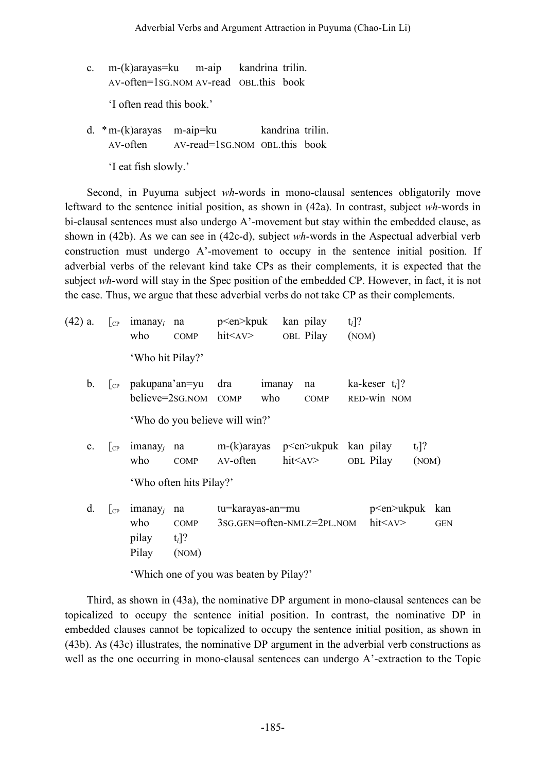c. m-(k)arayas=ku m-aip kandrina trilin. AV-often=1SG.NOM AV-read OBL.this book

'I often read this book.'

d. \*m-(k)arayas m-aip=ku kandrina trilin. AV-often AV-read=1SG.NOM OBL.this book

'I eat fish slowly.'

Second, in Puyuma subject *wh*-words in mono-clausal sentences obligatorily move leftward to the sentence initial position, as shown in (42a). In contrast, subject *wh*-words in bi-clausal sentences must also undergo A'-movement but stay within the embedded clause, as shown in (42b). As we can see in (42c-d), subject *wh*-words in the Aspectual adverbial verb construction must undergo A'-movement to occupy in the sentence initial position. If adverbial verbs of the relevant kind take CPs as their complements, it is expected that the subject *wh*-word will stay in the Spec position of the embedded CP. However, in fact, it is not the case. Thus, we argue that these adverbial verbs do not take CP as their complements.

| $(42)$ a.      | $ _{\rm CP}$ | $imanay_i$<br>who                            | na<br><b>COMP</b>                      | p <en>kpuk<br/><math>h</math>it<math>\langle</math>AV<math>&gt;</math></en> |               | kan pilay<br>OBL Pilay                      | $t_i$ ]?<br>(NOM) |                                 |                   |                   |
|----------------|--------------|----------------------------------------------|----------------------------------------|-----------------------------------------------------------------------------|---------------|---------------------------------------------|-------------------|---------------------------------|-------------------|-------------------|
|                |              | 'Who hit Pilay?'                             |                                        |                                                                             |               |                                             |                   |                                 |                   |                   |
| $\mathbf{b}$ . | $ _{\rm CP}$ | pakupana'an=yu                               | believe=2sG.NOM COMP                   | dra                                                                         | imanay<br>who | na<br><b>COMP</b>                           |                   | ka-keser $t_i$ ?<br>RED-win NOM |                   |                   |
|                |              |                                              |                                        | 'Who do you believe will win?'                                              |               |                                             |                   |                                 |                   |                   |
| $\mathbf{c}$ . | $ _{CP}$     | $imanay_i$<br>who                            | na<br>COMP                             | m-(k)arayas<br>AV-often                                                     |               | p <en>ukpuk kan pilay<br/>hit<av></av></en> |                   | OBL Pilay                       | $t_i$ ]?<br>(NOM) |                   |
|                |              |                                              | 'Who often hits Pilay?'                |                                                                             |               |                                             |                   |                                 |                   |                   |
| d.             | $ _{\rm CP}$ | imanay <sub>i</sub><br>who<br>pilay<br>Pilay | na<br><b>COMP</b><br>$t_i$ ]?<br>(NOM) | tu=karayas-an=mu                                                            |               | 3sg.gen=often-NMLz=2PL.NOM hit <av></av>    |                   | p <en>ukpuk</en>                |                   | kan<br><b>GEN</b> |

'Which one of you was beaten by Pilay?'

Third, as shown in (43a), the nominative DP argument in mono-clausal sentences can be topicalized to occupy the sentence initial position. In contrast, the nominative DP in embedded clauses cannot be topicalized to occupy the sentence initial position, as shown in (43b). As (43c) illustrates, the nominative DP argument in the adverbial verb constructions as well as the one occurring in mono-clausal sentences can undergo A'-extraction to the Topic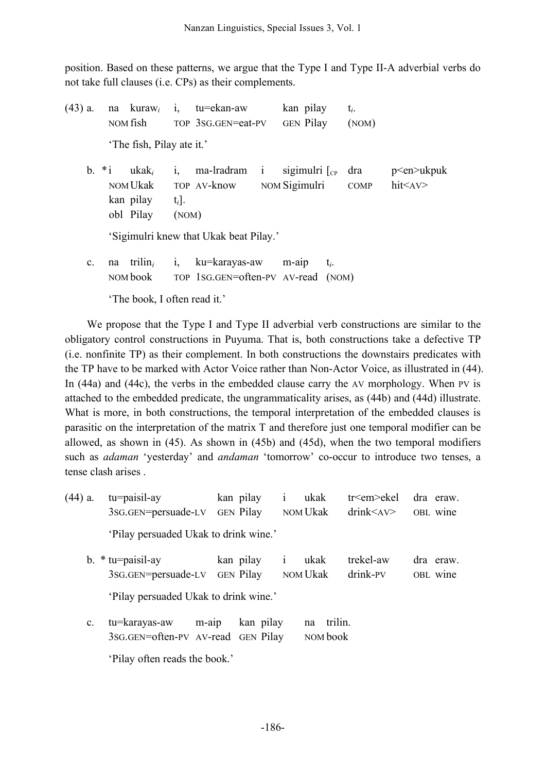position. Based on these patterns, we argue that the Type I and Type II-A adverbial verbs do not take full clauses (i.e. CPs) as their complements.

| $(43)$ a.      | na kura $w_i$<br>NOM fish                                        | tu=ekan-aw<br>i,<br>TOP 3SG.GEN=eat-PV                               | kan pilay<br><b>GEN</b> Pilay | $t_i$ .<br>(NOM)   |                                     |
|----------------|------------------------------------------------------------------|----------------------------------------------------------------------|-------------------------------|--------------------|-------------------------------------|
|                | 'The fish, Pilay ate it.'                                        |                                                                      |                               |                    |                                     |
|                | b. $*$ i ukak <sub>i</sub><br>NOM Ukak<br>kan pilay<br>obl Pilay | ma-lradram i<br>1,<br>TOP AV-know NOM Sigimulri<br>$t_i$ .<br>(NOM)  | sigimulri $\lceil_{CP}$       | dra<br><b>COMP</b> | $p$ <en>ukpuk<br/>hit<av></av></en> |
|                |                                                                  | 'Sigimulri knew that Ukak beat Pilay.'                               |                               |                    |                                     |
| $\mathbf{c}$ . | na trilin <sub>i</sub><br>NOM book                               | ku=karayas-aw<br>$\mathbf{i},$<br>TOP 1SG.GEN=often-PV AV-read (NOM) | $m$ -aip<br>$t_i$ .           |                    |                                     |

'The book, I often read it.'

We propose that the Type I and Type II adverbial verb constructions are similar to the obligatory control constructions in Puyuma. That is, both constructions take a defective TP (i.e. nonfinite TP) as their complement. In both constructions the downstairs predicates with the TP have to be marked with Actor Voice rather than Non-Actor Voice, as illustrated in (44). In (44a) and (44c), the verbs in the embedded clause carry the AV morphology. When PV is attached to the embedded predicate, the ungrammaticality arises, as (44b) and (44d) illustrate. What is more, in both constructions, the temporal interpretation of the embedded clauses is parasitic on the interpretation of the matrix T and therefore just one temporal modifier can be allowed, as shown in (45). As shown in (45b) and (45d), when the two temporal modifiers such as *adaman* 'yesterday' and *andaman* 'tomorrow' co-occur to introduce two tenses, a tense clash arises .

- (44) a. tu=paisil-ay kan pilay i ukak tr<em>ekel dra eraw. 3SG.GEN=persuade-LV GEN Pilay NOM Ukak drink<AV> OBL wine 'Pilay persuaded Ukak to drink wine.'
	- b. \* tu=paisil-ay kan pilay i ukak trekel-aw dra eraw. 3SG.GEN=persuade-LV GEN Pilay NOM Ukak drink-PV OBL wine 'Pilay persuaded Ukak to drink wine.'
	- c. tu=karayas-aw m-aip kan pilay na trilin. 3SG.GEN=often-PV AV-read GEN Pilay NOM book

'Pilay often reads the book.'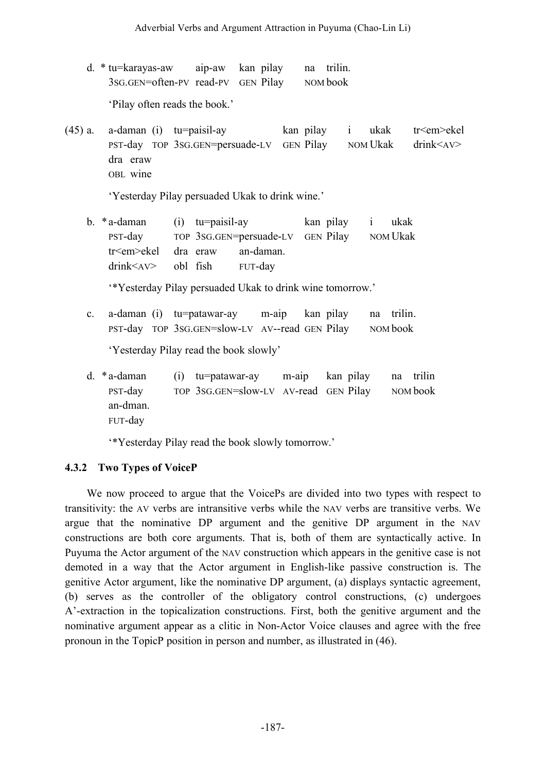d. \* tu=karayas-aw aip-aw kan pilay na trilin. 3SG.GEN=often-PV read-PV GEN Pilay NOM book

'Pilay often reads the book.'

(45) a. a-daman (i) tu=paisil-ay kan pilay i ukak tr<em>ekel PST-day TOP 3SG.GEN=persuade-LV GEN Pilay NOM Ukak drink<AV> dra eraw OBL wine

'Yesterday Pilay persuaded Ukak to drink wine.'

b. \*a-daman (i) tu=paisil-ay kan pilay i ukak PST-day TOP 3SG.GEN=persuade-LV GEN Pilay NOM Ukak tr<em>ekel dra eraw an-daman. drink<AV> obl fish FUT-day

'\*Yesterday Pilay persuaded Ukak to drink wine tomorrow.'

c. a-daman (i) tu=patawar-ay m-aip kan pilay na trilin. PST-day TOP 3SG.GEN=slow-LV AV--read GEN Pilay NOM book

'Yesterday Pilay read the book slowly'

d. \*a-daman (i) tu=patawar-ay m-aip kan pilay na trilin PST-day TOP 3SG.GEN=slow-LV AV-read GEN Pilay NOM book an-dman. FUT-day

'\*Yesterday Pilay read the book slowly tomorrow.'

# **4.3.2 Two Types of VoiceP**

We now proceed to argue that the VoicePs are divided into two types with respect to transitivity: the AV verbs are intransitive verbs while the NAV verbs are transitive verbs. We argue that the nominative DP argument and the genitive DP argument in the NAV constructions are both core arguments. That is, both of them are syntactically active. In Puyuma the Actor argument of the NAV construction which appears in the genitive case is not demoted in a way that the Actor argument in English-like passive construction is. The genitive Actor argument, like the nominative DP argument, (a) displays syntactic agreement, (b) serves as the controller of the obligatory control constructions, (c) undergoes A'-extraction in the topicalization constructions. First, both the genitive argument and the nominative argument appear as a clitic in Non-Actor Voice clauses and agree with the free pronoun in the TopicP position in person and number, as illustrated in (46).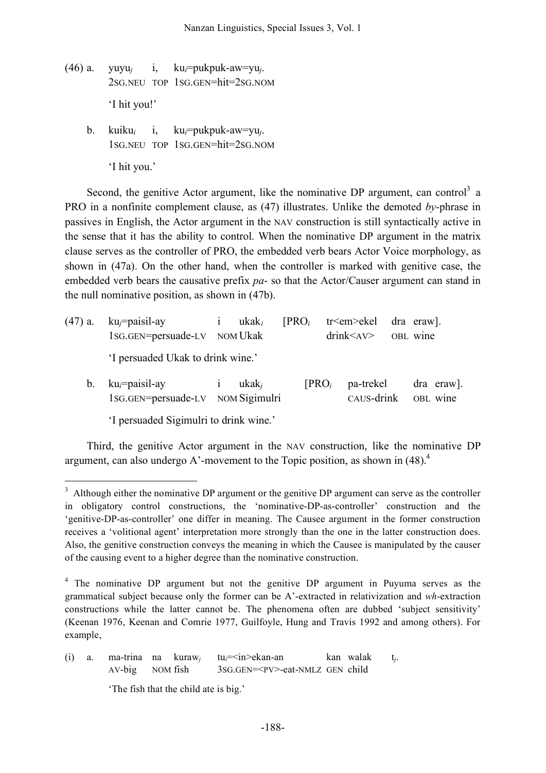- (46) a. yuyu*<sup>j</sup>* i, ku*i*=pukpuk-aw=yu*j*. 2SG.NEU TOP 1SG.GEN=hit=2SG.NOM 'I hit you!'
	- b. kuiku*<sup>i</sup>* i, ku*i*=pukpuk-aw=yu*j*. 1SG.NEU TOP 1SG.GEN=hit=2SG.NOM 'I hit you.'

Second, the genitive Actor argument, like the nominative DP argument, can control<sup>3</sup> a PRO in a nonfinite complement clause, as (47) illustrates. Unlike the demoted *by*-phrase in passives in English, the Actor argument in the NAV construction is still syntactically active in the sense that it has the ability to control. When the nominative DP argument in the matrix clause serves as the controller of PRO, the embedded verb bears Actor Voice morphology, as shown in (47a). On the other hand, when the controller is marked with genitive case, the embedded verb bears the causative prefix *pa*- so that the Actor/Causer argument can stand in the null nominative position, as shown in (47b).

|  |                                   | $(47)$ a. ku <sub>i</sub> =paisil-ay i ukak <sub>i</sub><br>$[PROi$ tr <em>ekel dra eraw].<br/>1sG.GEN=persuade-LV NOM Ukak<br/><math>drink &lt; AV &gt;</math> OBL wine</em> |  |                   |            |
|--|-----------------------------------|-------------------------------------------------------------------------------------------------------------------------------------------------------------------------------|--|-------------------|------------|
|  | 'I persuaded Ukak to drink wine.' |                                                                                                                                                                               |  |                   |            |
|  | b. $ku_i = paisil-ay$ i $ukak_i$  |                                                                                                                                                                               |  | $[PROi$ pa-trekel | dra eraw]. |

1SG.GEN=persuade-LV NOM Sigimulri CAUS-drink OBL wine

'I persuaded Sigimulri to drink wine.'

Third, the genitive Actor argument in the NAV construction, like the nominative DP argument, can also undergo A'-movement to the Topic position, as shown in  $(48)$ .<sup>4</sup>

 $3$  Although either the nominative DP argument or the genitive DP argument can serve as the controller in obligatory control constructions, the 'nominative-DP-as-controller' construction and the 'genitive-DP-as-controller' one differ in meaning. The Causee argument in the former construction receives a 'volitional agent' interpretation more strongly than the one in the latter construction does. Also, the genitive construction conveys the meaning in which the Causee is manipulated by the causer of the causing event to a higher degree than the nominative construction.

<sup>4</sup> The nominative DP argument but not the genitive DP argument in Puyuma serves as the grammatical subject because only the former can be A'-extracted in relativization and *wh*-extraction constructions while the latter cannot be. The phenomena often are dubbed 'subject sensitivity' (Keenan 1976, Keenan and Comrie 1977, Guilfoyle, Hung and Travis 1992 and among others). For example,

<sup>(</sup>i) a. ma-trina na kuraw*<sup>j</sup>* tu*i*=<in>ekan-an kan walak t*j*. AV-big NOM fish 3SG.GEN=<PV>-eat-NMLZ GEN child

<sup>&#</sup>x27;The fish that the child ate is big.'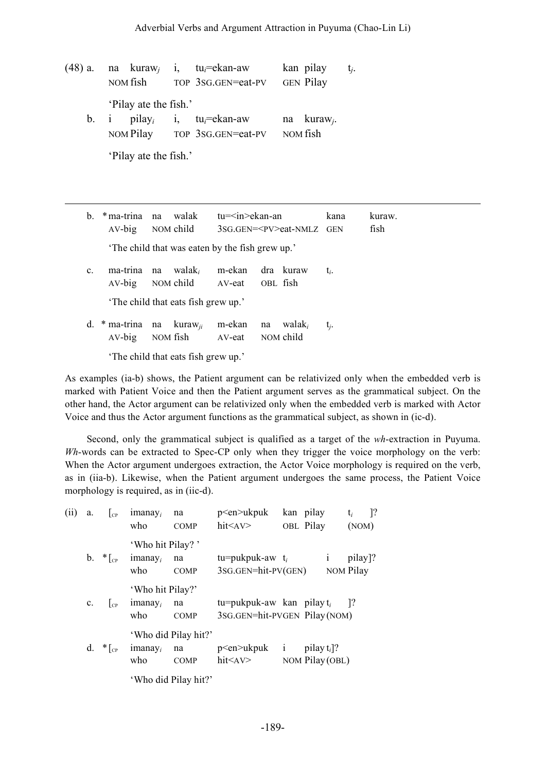| $(48)$ a. |                         | na kuraw <sub>i</sub> i, tu <sub>i</sub> =ekan-aw | kan pilay               | $t_i$ . |
|-----------|-------------------------|---------------------------------------------------|-------------------------|---------|
|           | NOM fish                | TOP 3SG.GEN=eat-PV                                | <b>GEN</b> Pilay        |         |
|           | 'Pilay ate the fish.'   |                                                   |                         |         |
|           | b. i pilay <sub>i</sub> | i, $tu_i = e$ kan-aw                              | na kuraw <sub>i</sub> . |         |
|           | NOM Pilay               | TOP 3SG.GEN=eat-PV                                | NOM fish                |         |
|           |                         |                                                   |                         |         |

'Pilay ate the fish.'

-

| $b_{-}$        |                                                | *ma-trina na walak<br>AV-big NOM child          | tu= <in>ekan-an<br/>3SG.GEN=<pv>eat-NMLZ GEN</pv></in> |                            | kana    | kuraw.<br>fish |  |  |  |
|----------------|------------------------------------------------|-------------------------------------------------|--------------------------------------------------------|----------------------------|---------|----------------|--|--|--|
|                | The child that was eaten by the fish grew up.' |                                                 |                                                        |                            |         |                |  |  |  |
| $\mathbf{c}$ . | ma-trina                                       | na walak, m-ekan<br>AV-big NOM child            | AV-eat OBL fish                                        | dra kuraw                  | $t_i$ . |                |  |  |  |
|                | 'The child that eats fish grew up.'            |                                                 |                                                        |                            |         |                |  |  |  |
| d.             | $AV-big$                                       | $*$ ma-trina na kuraw <sub>ii</sub><br>NOM fish | m-ekan na                                              | walak,<br>AV-eat NOM child | t.      |                |  |  |  |
|                |                                                | The child that eats fish grew up.'              |                                                        |                            |         |                |  |  |  |

As examples (ia-b) shows, the Patient argument can be relativized only when the embedded verb is marked with Patient Voice and then the Patient argument serves as the grammatical subject. On the other hand, the Actor argument can be relativized only when the embedded verb is marked with Actor Voice and thus the Actor argument functions as the grammatical subject, as shown in (ic-d).

Second, only the grammatical subject is qualified as a target of the *wh*-extraction in Puyuma. *Wh*-words can be extracted to Spec-CP only when they trigger the voice morphology on the verb: When the Actor argument undergoes extraction, the Actor Voice morphology is required on the verb, as in (iia-b). Likewise, when the Patient argument undergoes the same process, the Patient Voice morphology is required, as in (iic-d).

| (ii) | a.          | $\vert_{\rm CP}$     | $imanay_i$<br>who                     | na<br><b>COMP</b>                         | p <en>ukpuk<br/><math>h</math>it<math>\leq</math>AV<math>&gt;</math></en> |              | kan pilay<br>OBL Pilay           | $t_i$<br>(NOM)       | $\lceil$ ? |
|------|-------------|----------------------|---------------------------------------|-------------------------------------------|---------------------------------------------------------------------------|--------------|----------------------------------|----------------------|------------|
|      |             | <b>b</b> . $*_{C_P}$ | 'Who hit Pilay?'<br>$imanay_i$<br>who | na<br><b>COMP</b>                         | tu=pukpuk-aw $t_i$<br>$3SG.GEN=hit-PV(GEN)$                               |              | $\mathbf{i}$                     | pilay]?<br>NOM Pilay |            |
|      | $c_{\cdot}$ | $ _{\rm CP}$         | 'Who hit Pilay?'<br>$imanay_i$<br>who | na<br><b>COMP</b>                         | tu=pukpuk-aw kan pilay $t_i$ [?]<br>3SG.GEN=hit-PVGEN Pilay(NOM)          |              |                                  |                      |            |
|      |             | d. $*_{C_P}$         | $imanay_i$<br>who                     | 'Who did Pilay hit?'<br>na<br><b>COMP</b> | p <en>ukpuk<br/>hit<av></av></en>                                         | $\mathbf{i}$ | pilay $t_i$ ?<br>NOM Pilay (OBL) |                      |            |
|      |             |                      |                                       | 'Who did Pilay hit?'                      |                                                                           |              |                                  |                      |            |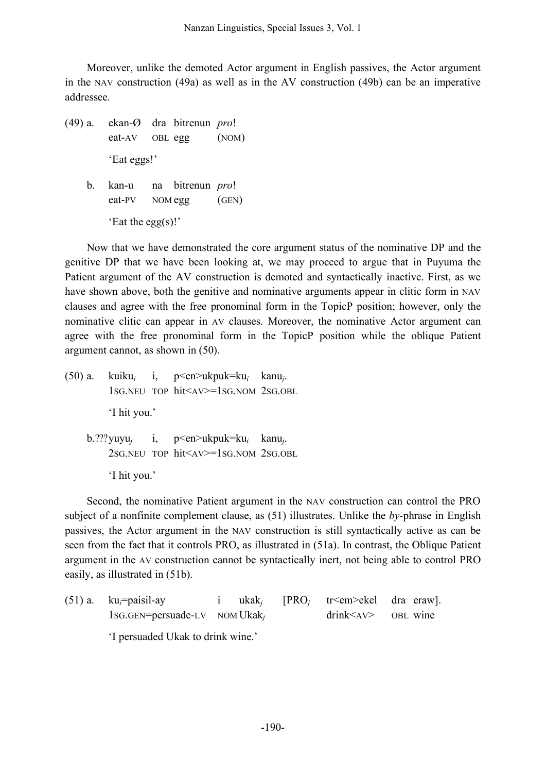Moreover, unlike the demoted Actor argument in English passives, the Actor argument in the NAV construction (49a) as well as in the AV construction (49b) can be an imperative addressee.

(49) a. ekan-Ø dra bitrenun *pro*! eat-AV OBL egg (NOM) 'Eat eggs!' b. kan-u na bitrenun *pro*! eat-PV NOM egg (GEN) 'Eat the egg(s)!'

Now that we have demonstrated the core argument status of the nominative DP and the genitive DP that we have been looking at, we may proceed to argue that in Puyuma the Patient argument of the AV construction is demoted and syntactically inactive. First, as we have shown above, both the genitive and nominative arguments appear in clitic form in NAV clauses and agree with the free pronominal form in the TopicP position; however, only the nominative clitic can appear in AV clauses. Moreover, the nominative Actor argument can agree with the free pronominal form in the TopicP position while the oblique Patient argument cannot, as shown in (50).

(50) a. kuiku*<sup>i</sup>* i, p<en>ukpuk=ku*<sup>i</sup>* kanu*j*. 1SG.NEU TOP hit<AV>=1SG.NOM 2SG.OBL 'I hit you.' b.???yuyu*<sup>j</sup>* i, p<en>ukpuk=ku*<sup>i</sup>* kanu*j*. 2SG.NEU TOP hit<AV>=1SG.NOM 2SG.OBL 'I hit you.'

Second, the nominative Patient argument in the NAV construction can control the PRO subject of a nonfinite complement clause, as (51) illustrates. Unlike the *by-*phrase in English passives, the Actor argument in the NAV construction is still syntactically active as can be seen from the fact that it controls PRO, as illustrated in (51a). In contrast, the Oblique Patient argument in the AV construction cannot be syntactically inert, not being able to control PRO easily, as illustrated in (51b).

| $(51)$ a. $ku_i = paisil-ay$                 |  |  |  | i ukak <sub>i</sub> [PRO <sub>i</sub> tr <em>ekel dra eraw].</em> |  |
|----------------------------------------------|--|--|--|-------------------------------------------------------------------|--|
| $1$ SG.GEN=persuade-LV NOM Ukak <sub>i</sub> |  |  |  | $drink < AV >$ OBL wine                                           |  |
|                                              |  |  |  |                                                                   |  |

'I persuaded Ukak to drink wine.'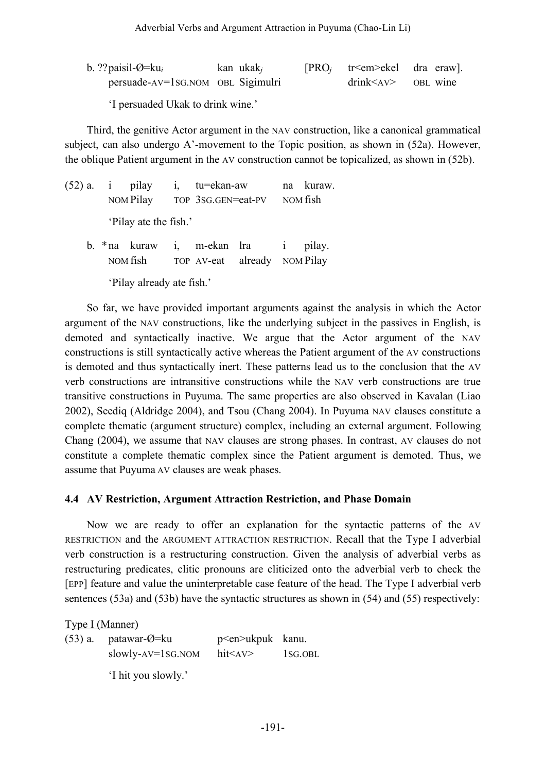b. ??paisil-Ø=ku*<sup>i</sup>* kan ukak*<sup>j</sup>* [PRO*<sup>j</sup>* tr<em>ekel dra eraw]. persuade-AV=1SG.NOM OBL Sigimulri drink<AV> OBL wine

'I persuaded Ukak to drink wine.'

Third, the genitive Actor argument in the NAV construction, like a canonical grammatical subject, can also undergo A'-movement to the Topic position, as shown in (52a). However, the oblique Patient argument in the AV construction cannot be topicalized, as shown in (52b).

|  | $(52)$ a. i pilay<br>NOM Pilay | i, tu=ekan-aw<br>TOP 3SG.GEN=eat-PV |                                                               | na kuraw.<br>NOM fish |
|--|--------------------------------|-------------------------------------|---------------------------------------------------------------|-----------------------|
|  | 'Pilay ate the fish.'          |                                     |                                                               |                       |
|  | NOM fish                       |                                     | b. * na kuraw i, m-ekan lra i<br>TOP AV-eat already NOM Pilay | pilay.                |

'Pilay already ate fish.'

So far, we have provided important arguments against the analysis in which the Actor argument of the NAV constructions, like the underlying subject in the passives in English, is demoted and syntactically inactive. We argue that the Actor argument of the NAV constructions is still syntactically active whereas the Patient argument of the AV constructions is demoted and thus syntactically inert. These patterns lead us to the conclusion that the AV verb constructions are intransitive constructions while the NAV verb constructions are true transitive constructions in Puyuma. The same properties are also observed in Kavalan (Liao 2002), Seediq (Aldridge 2004), and Tsou (Chang 2004). In Puyuma NAV clauses constitute a complete thematic (argument structure) complex, including an external argument. Following Chang (2004), we assume that NAV clauses are strong phases. In contrast, AV clauses do not constitute a complete thematic complex since the Patient argument is demoted. Thus, we assume that Puyuma AV clauses are weak phases.

### **4.4 AV Restriction, Argument Attraction Restriction, and Phase Domain**

Now we are ready to offer an explanation for the syntactic patterns of the AV RESTRICTION and the ARGUMENT ATTRACTION RESTRICTION. Recall that the Type I adverbial verb construction is a restructuring construction. Given the analysis of adverbial verbs as restructuring predicates, clitic pronouns are cliticized onto the adverbial verb to check the [EPP] feature and value the uninterpretable case feature of the head. The Type I adverbial verb sentences (53a) and (53b) have the syntactic structures as shown in (54) and (55) respectively:

Type I (Manner)

(53) a. patawar-Ø=ku p<en>ukpuk kanu. slowly-AV=1SG.NOM hit<AV> 1SG.OBL 'I hit you slowly.'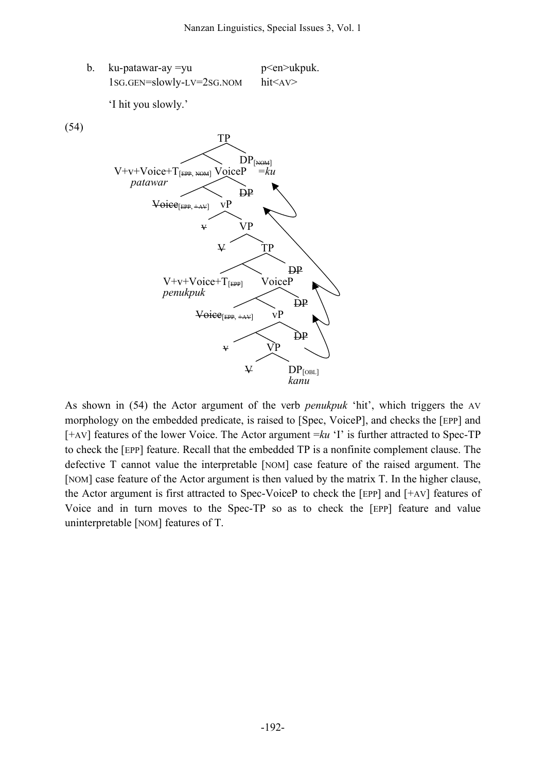b. ku-patawar-ay =yu p <en>ukpuk. 1SG.GEN=slowly-LV=2SG.NOM hit<AV>

'I hit you slowly.'

(54)



As shown in (54) the Actor argument of the verb *penukpuk* 'hit', which triggers the AV morphology on the embedded predicate, is raised to [Spec, VoiceP], and checks the [EPP] and [+AV] features of the lower Voice. The Actor argument =*ku* 'I' is further attracted to Spec-TP to check the [EPP] feature. Recall that the embedded TP is a nonfinite complement clause. The defective T cannot value the interpretable [NOM] case feature of the raised argument. The [NOM] case feature of the Actor argument is then valued by the matrix T. In the higher clause, the Actor argument is first attracted to Spec-VoiceP to check the [EPP] and [+AV] features of Voice and in turn moves to the Spec-TP so as to check the [EPP] feature and value uninterpretable [NOM] features of T.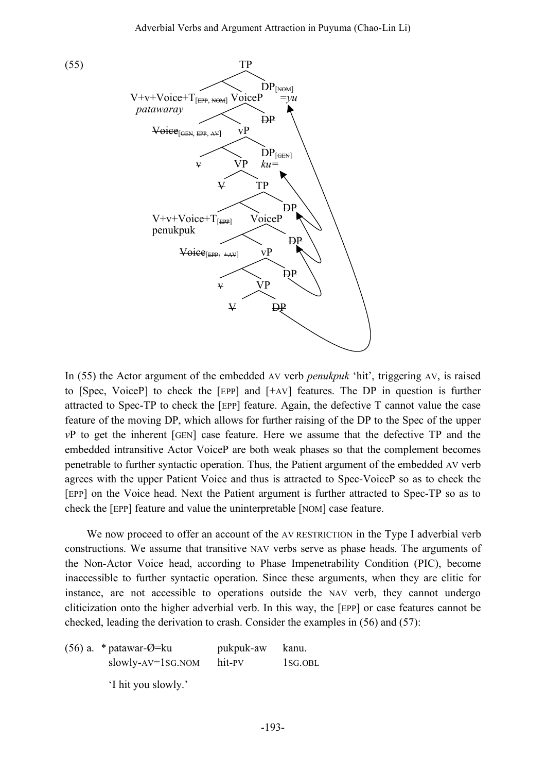

In (55) the Actor argument of the embedded AV verb *penukpuk* 'hit', triggering AV, is raised to [Spec, VoiceP] to check the [EPP] and [+AV] features. The DP in question is further attracted to Spec-TP to check the [EPP] feature. Again, the defective T cannot value the case feature of the moving DP, which allows for further raising of the DP to the Spec of the upper *v*P to get the inherent [GEN] case feature. Here we assume that the defective TP and the embedded intransitive Actor VoiceP are both weak phases so that the complement becomes penetrable to further syntactic operation. Thus, the Patient argument of the embedded AV verb agrees with the upper Patient Voice and thus is attracted to Spec-VoiceP so as to check the [EPP] on the Voice head. Next the Patient argument is further attracted to Spec-TP so as to check the [EPP] feature and value the uninterpretable [NOM] case feature.

We now proceed to offer an account of the AV RESTRICTION in the Type I adverbial verb constructions. We assume that transitive NAV verbs serve as phase heads. The arguments of the Non-Actor Voice head, according to Phase Impenetrability Condition (PIC), become inaccessible to further syntactic operation. Since these arguments, when they are clitic for instance, are not accessible to operations outside the NAV verb, they cannot undergo cliticization onto the higher adverbial verb. In this way, the [EPP] or case features cannot be checked, leading the derivation to crash. Consider the examples in (56) and (57):

(56) a.  $*$  patawar- $\varnothing$ =ku pukpuk-aw kanu. slowly-AV=1SG.NOM hit-PV 1SG.OBL 'I hit you slowly.'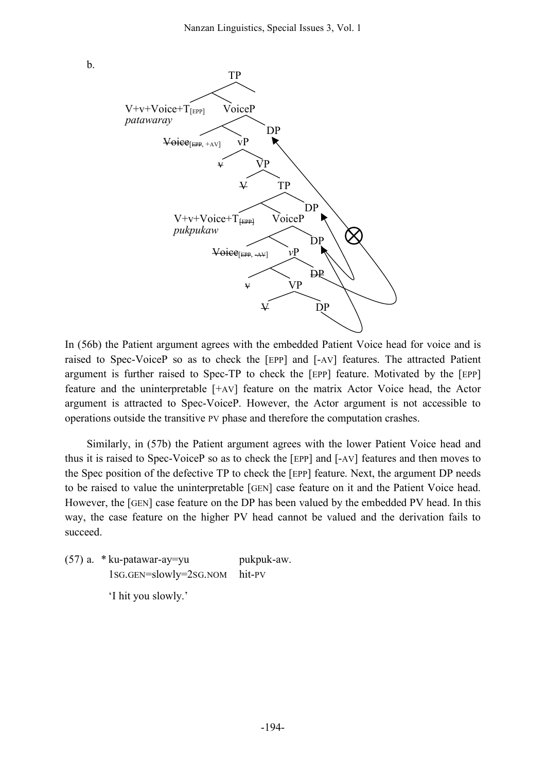

In (56b) the Patient argument agrees with the embedded Patient Voice head for voice and is raised to Spec-VoiceP so as to check the [EPP] and [-AV] features. The attracted Patient argument is further raised to Spec-TP to check the [EPP] feature. Motivated by the [EPP] feature and the uninterpretable [+AV] feature on the matrix Actor Voice head, the Actor argument is attracted to Spec-VoiceP. However, the Actor argument is not accessible to operations outside the transitive PV phase and therefore the computation crashes.

Similarly, in (57b) the Patient argument agrees with the lower Patient Voice head and thus it is raised to Spec-VoiceP so as to check the [EPP] and [-AV] features and then moves to the Spec position of the defective TP to check the [EPP] feature. Next, the argument DP needs to be raised to value the uninterpretable [GEN] case feature on it and the Patient Voice head. However, the [GEN] case feature on the DP has been valued by the embedded PV head. In this way, the case feature on the higher PV head cannot be valued and the derivation fails to succeed.

(57) a. \* ku-patawar-ay=yu pukpuk-aw. 1SG.GEN=slowly=2SG.NOM hit-PV

'I hit you slowly.'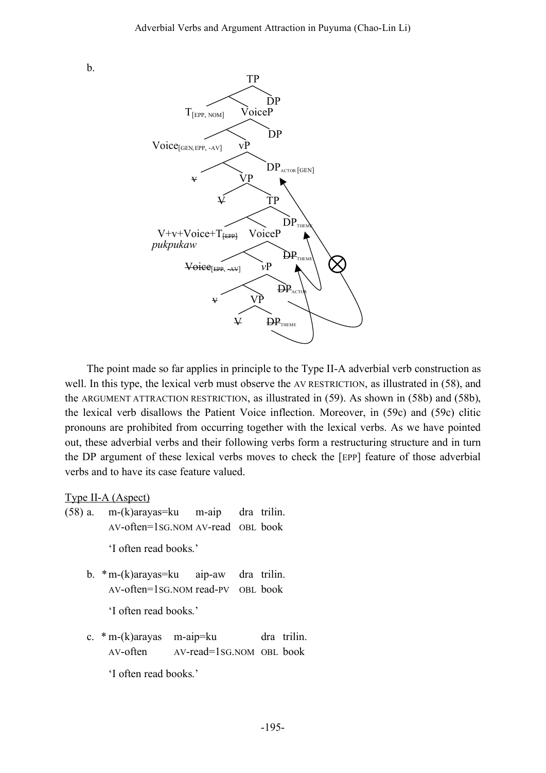b.



The point made so far applies in principle to the Type II-A adverbial verb construction as well. In this type, the lexical verb must observe the AV RESTRICTION, as illustrated in (58), and the ARGUMENT ATTRACTION RESTRICTION, as illustrated in (59). As shown in (58b) and (58b), the lexical verb disallows the Patient Voice inflection. Moreover, in (59c) and (59c) clitic pronouns are prohibited from occurring together with the lexical verbs. As we have pointed out, these adverbial verbs and their following verbs form a restructuring structure and in turn the DP argument of these lexical verbs moves to check the [EPP] feature of those adverbial verbs and to have its case feature valued.

Type II-A (Aspect)

(58) a. m-(k)arayas=ku m-aip dra trilin. AV-often=1SG.NOM AV-read OBL book

'I often read books.'

b. \*m-(k)arayas=ku aip-aw dra trilin. AV-often=1SG.NOM read-PV OBL book

'I often read books.'

c. \* m-(k)arayas m-aip=ku dra trilin. AV-often AV-read=1SG.NOM OBL book

'I often read books.'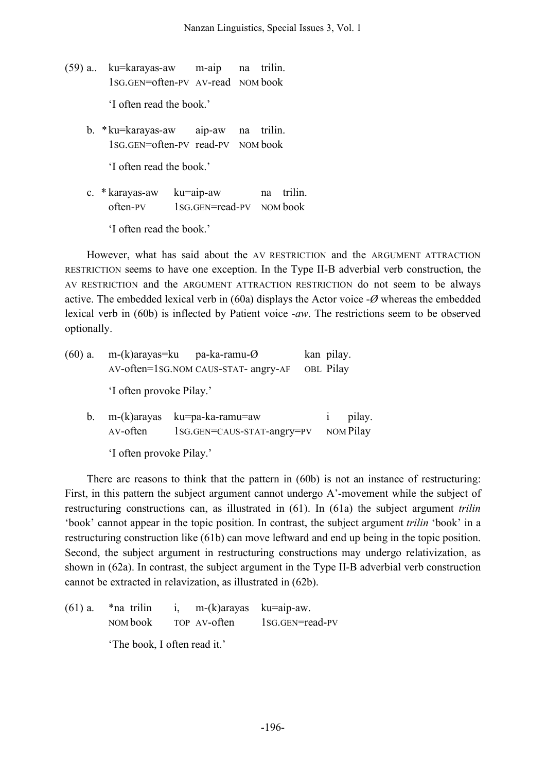- (59) a.. ku=karayas-aw m-aip na trilin. 1SG.GEN=often-PV AV-read NOM book 'I often read the book.'
	- b. \*ku=karayas-aw aip-aw na trilin. 1SG.GEN=often-PV read-PV NOM book

'I often read the book.'

c. \* karayas-aw ku=aip-aw na trilin. often-PV 1SG.GEN=read-PV NOM book

'I often read the book.'

However, what has said about the AV RESTRICTION and the ARGUMENT ATTRACTION RESTRICTION seems to have one exception. In the Type II-B adverbial verb construction, the AV RESTRICTION and the ARGUMENT ATTRACTION RESTRICTION do not seem to be always active. The embedded lexical verb in (60a) displays the Actor voice -*Ø* whereas the embedded lexical verb in (60b) is inflected by Patient voice -*aw*. The restrictions seem to be observed optionally.

| $(60)$ a.   | m-(k)arayas=ku pa-ka-ramu- $\emptyset$<br>AV-often=1sG.NOM CAUS-STAT- angry-AF | kan pilay.<br>OBL Pilay |                     |  |
|-------------|--------------------------------------------------------------------------------|-------------------------|---------------------|--|
|             | 'I often provoke Pilay.'                                                       |                         |                     |  |
| $b_{\cdot}$ | $m-(k)$ arayas<br>AV-often                                                     |                         | pilay.<br>NOM Pilay |  |
|             | 'I often provoke Pilay.'                                                       |                         |                     |  |

There are reasons to think that the pattern in (60b) is not an instance of restructuring: First, in this pattern the subject argument cannot undergo A'-movement while the subject of restructuring constructions can, as illustrated in (61). In (61a) the subject argument *trilin* 'book' cannot appear in the topic position. In contrast, the subject argument *trilin* 'book' in a restructuring construction like (61b) can move leftward and end up being in the topic position. Second, the subject argument in restructuring constructions may undergo relativization, as shown in (62a). In contrast, the subject argument in the Type II-B adverbial verb construction cannot be extracted in relavization, as illustrated in (62b).

(61) a.  $*$ na trilin i, m-(k)arayas ku=aip-aw. NOM book TOP AV-often 1SG.GEN=read-PV 'The book, I often read it.'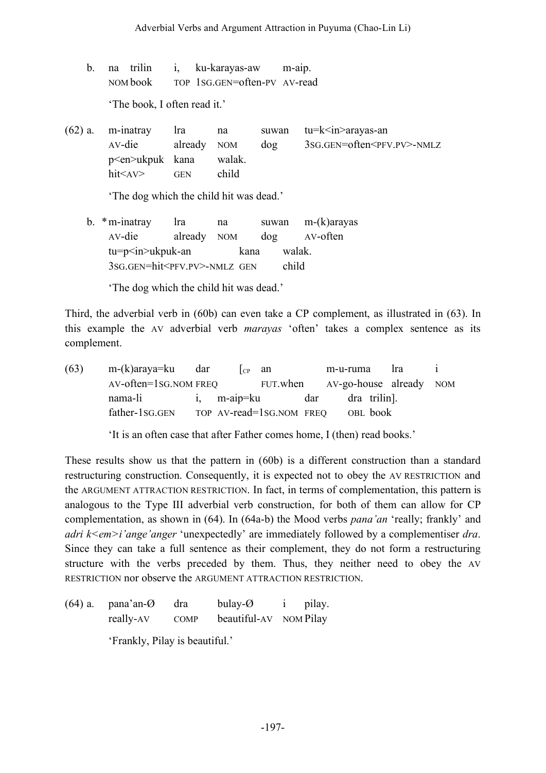- b. na trilin i, ku-karayas-aw m-aip. NOM book TOP 1SG.GEN=often-PV AV-read 'The book, I often read it.'
- $(62)$  a. m-inatray lra na suwan tu=k $\langle$ in>arayas-an AV-die already NOM dog 3SG.GEN=often<PFV.PV>-NMLZ p<en>ukpuk kana walak. hit<AV> GEN child

'The dog which the child hit was dead.'

b. \*m-inatray lra na suwan m-(k)arayas AV-die already NOM dog AV-often tu=p<in>ukpuk-an kana walak. 3SG.GEN=hit<PFV.PV>-NMLZ GEN child

'The dog which the child hit was dead.'

Third, the adverbial verb in (60b) can even take a CP complement, as illustrated in (63). In this example the AV adverbial verb *marayas* 'often' takes a complex sentence as its complement.

|                |  |                                                              |                          |          | Ira                                         |                                                    |
|----------------|--|--------------------------------------------------------------|--------------------------|----------|---------------------------------------------|----------------------------------------------------|
|                |  |                                                              |                          |          |                                             |                                                    |
| nama-li        |  |                                                              |                          |          |                                             |                                                    |
| father-1sg.GEN |  |                                                              |                          |          |                                             |                                                    |
|                |  | m-(k)araya=ku dar<br>$AV\text{-}often=1SG. NOM \text{ FREQ}$ | $\log$ an<br>i, m-aip=ku | FUT.when | m-u-ruma<br>dar<br>TOP AV-read=1sG.NOM FREQ | AV-go-house already NOM<br>dra trilin.<br>OBL book |

'It is an often case that after Father comes home, I (then) read books.'

These results show us that the pattern in (60b) is a different construction than a standard restructuring construction. Consequently, it is expected not to obey the AV RESTRICTION and the ARGUMENT ATTRACTION RESTRICTION. In fact, in terms of complementation, this pattern is analogous to the Type III adverbial verb construction, for both of them can allow for CP complementation, as shown in (64). In (64a-b) the Mood verbs *pana'an* 'really; frankly' and *adri k<em>i'ange'anger* 'unexpectedly' are immediately followed by a complementiser *dra*. Since they can take a full sentence as their complement, they do not form a restructuring structure with the verbs preceded by them. Thus, they neither need to obey the AV RESTRICTION nor observe the ARGUMENT ATTRACTION RESTRICTION.

(64) a. pana'an-Ø dra bulay-Ø i pilay. really-AV COMP beautiful-AV NOM Pilay 'Frankly, Pilay is beautiful.'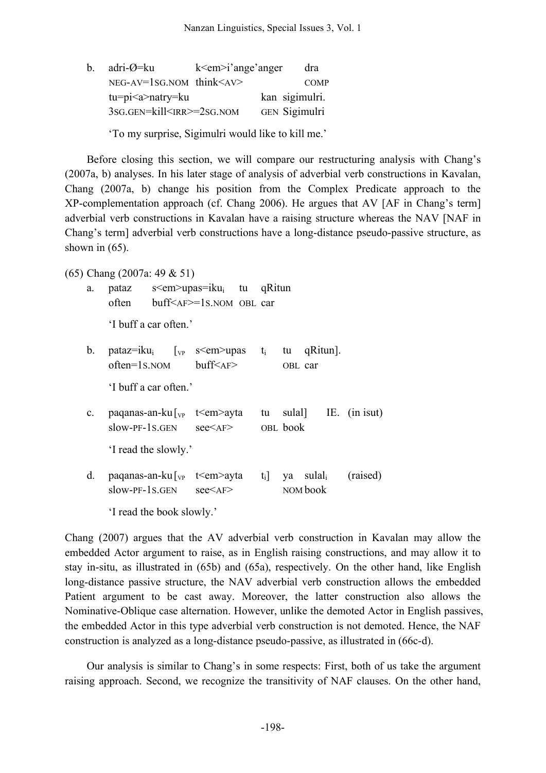| b. | adri-Ø=ku                        | $k$ < em > i' ange' anger |  | dra         |
|----|----------------------------------|---------------------------|--|-------------|
|    | NEG-AV=1SG.NOM think <av></av>   |                           |  | <b>COMP</b> |
|    | $tu = pi < a > natry = ku$       | kan sigimulri.            |  |             |
|    | 3SG.GEN=kill <irr>=2SG.NOM</irr> | GEN Sigimulri             |  |             |
|    |                                  |                           |  |             |

'To my surprise, Sigimulri would like to kill me.'

Before closing this section, we will compare our restructuring analysis with Chang's (2007a, b) analyses. In his later stage of analysis of adverbial verb constructions in Kavalan, Chang (2007a, b) change his position from the Complex Predicate approach to the XP-complementation approach (cf. Chang 2006). He argues that AV [AF in Chang's term] adverbial verb constructions in Kavalan have a raising structure whereas the NAV [NAF in Chang's term] adverbial verb constructions have a long-distance pseudo-passive structure, as shown in  $(65)$ .

(65) Chang (2007a: 49 & 51)

| a.        |                           | pataz $s$ s  nextin $\mu_i$ tu qRitun<br>often buff <af>=1s.NOM OBL car</af>                                                                       |  |          |  |
|-----------|---------------------------|----------------------------------------------------------------------------------------------------------------------------------------------------|--|----------|--|
|           | 'I buff a car often.'     |                                                                                                                                                    |  |          |  |
| b.        | 'I buff a car often.'     | pataz=iku <sub>i</sub> [ <sub>vp</sub> s <em>upas t<sub>i</sub> tu qRitun].<br/>often=1s.nom buff<af> OBL car</af></em>                            |  |          |  |
|           |                           |                                                                                                                                                    |  |          |  |
| $c_{\rm}$ |                           | paqanas-an-ku $\lceil_{VP}$ t <em>ayta tu sulal] IE. (in isut)<br/>slow-PF-1S.GEN see<af> OBL book</af></em>                                       |  |          |  |
|           | 'I read the slowly.'      |                                                                                                                                                    |  |          |  |
| d.        |                           | paqanas-an-ku $\lceil_{VP}$ t <em>ayta t<sub>i</sub> ya sulal<sub>i</sub> (raised)<br/><math>slow-PF-1S.GEN</math> <math>see <af></af></math></em> |  | NOM book |  |
|           | 'I read the book slowly.' |                                                                                                                                                    |  |          |  |

Chang (2007) argues that the AV adverbial verb construction in Kavalan may allow the embedded Actor argument to raise, as in English raising constructions, and may allow it to stay in-situ, as illustrated in (65b) and (65a), respectively. On the other hand, like English long-distance passive structure, the NAV adverbial verb construction allows the embedded Patient argument to be cast away. Moreover, the latter construction also allows the Nominative-Oblique case alternation. However, unlike the demoted Actor in English passives, the embedded Actor in this type adverbial verb construction is not demoted. Hence, the NAF construction is analyzed as a long-distance pseudo-passive, as illustrated in (66c-d).

Our analysis is similar to Chang's in some respects: First, both of us take the argument raising approach. Second, we recognize the transitivity of NAF clauses. On the other hand,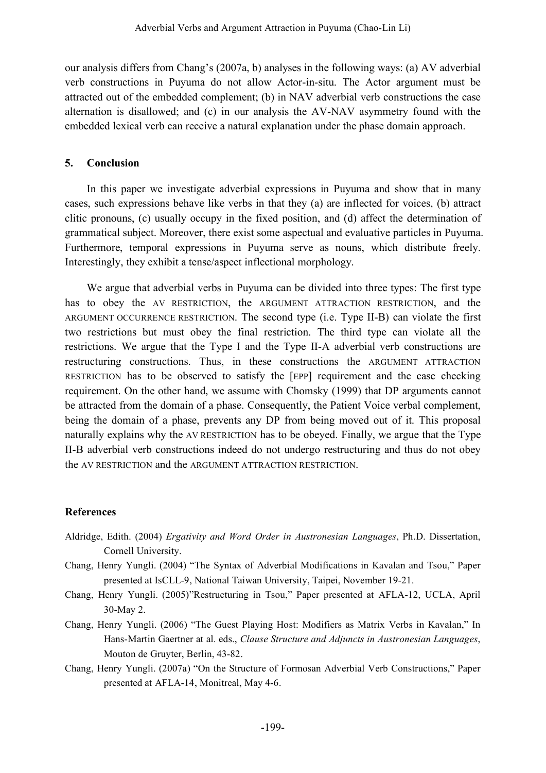our analysis differs from Chang's (2007a, b) analyses in the following ways: (a) AV adverbial verb constructions in Puyuma do not allow Actor-in-situ. The Actor argument must be attracted out of the embedded complement; (b) in NAV adverbial verb constructions the case alternation is disallowed; and (c) in our analysis the AV-NAV asymmetry found with the embedded lexical verb can receive a natural explanation under the phase domain approach.

### **5. Conclusion**

In this paper we investigate adverbial expressions in Puyuma and show that in many cases, such expressions behave like verbs in that they (a) are inflected for voices, (b) attract clitic pronouns, (c) usually occupy in the fixed position, and (d) affect the determination of grammatical subject. Moreover, there exist some aspectual and evaluative particles in Puyuma. Furthermore, temporal expressions in Puyuma serve as nouns, which distribute freely. Interestingly, they exhibit a tense/aspect inflectional morphology.

We argue that adverbial verbs in Puyuma can be divided into three types: The first type has to obey the AV RESTRICTION, the ARGUMENT ATTRACTION RESTRICTION, and the ARGUMENT OCCURRENCE RESTRICTION. The second type (i.e. Type II-B) can violate the first two restrictions but must obey the final restriction. The third type can violate all the restrictions. We argue that the Type I and the Type II-A adverbial verb constructions are restructuring constructions. Thus, in these constructions the ARGUMENT ATTRACTION RESTRICTION has to be observed to satisfy the [EPP] requirement and the case checking requirement. On the other hand, we assume with Chomsky (1999) that DP arguments cannot be attracted from the domain of a phase. Consequently, the Patient Voice verbal complement, being the domain of a phase, prevents any DP from being moved out of it. This proposal naturally explains why the AV RESTRICTION has to be obeyed. Finally, we argue that the Type II-B adverbial verb constructions indeed do not undergo restructuring and thus do not obey the AV RESTRICTION and the ARGUMENT ATTRACTION RESTRICTION.

### **References**

- Aldridge, Edith. (2004) *Ergativity and Word Order in Austronesian Languages*, Ph.D. Dissertation, Cornell University.
- Chang, Henry Yungli. (2004) "The Syntax of Adverbial Modifications in Kavalan and Tsou," Paper presented at IsCLL-9, National Taiwan University, Taipei, November 19-21.
- Chang, Henry Yungli. (2005)"Restructuring in Tsou," Paper presented at AFLA-12, UCLA, April 30-May 2.
- Chang, Henry Yungli. (2006) "The Guest Playing Host: Modifiers as Matrix Verbs in Kavalan," In Hans-Martin Gaertner at al. eds., *Clause Structure and Adjuncts in Austronesian Languages*, Mouton de Gruyter, Berlin, 43-82.
- Chang, Henry Yungli. (2007a) "On the Structure of Formosan Adverbial Verb Constructions," Paper presented at AFLA-14, Monitreal, May 4-6.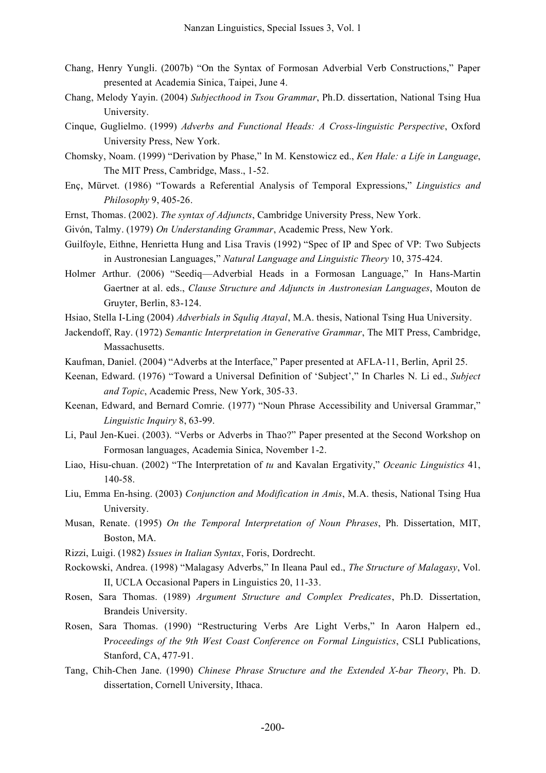- Chang, Henry Yungli. (2007b) "On the Syntax of Formosan Adverbial Verb Constructions," Paper presented at Academia Sinica, Taipei, June 4.
- Chang, Melody Yayin. (2004) *Subjecthood in Tsou Grammar*, Ph.D. dissertation, National Tsing Hua University.
- Cinque, Guglielmo. (1999) *Adverbs and Functional Heads: A Cross-linguistic Perspective*, Oxford University Press, New York.
- Chomsky, Noam. (1999) "Derivation by Phase," In M. Kenstowicz ed., *Ken Hale: a Life in Language*, The MIT Press, Cambridge, Mass., 1-52.
- Enç, Mürvet. (1986) "Towards a Referential Analysis of Temporal Expressions," *Linguistics and Philosophy* 9, 405-26.
- Ernst, Thomas. (2002). *The syntax of Adjuncts*, Cambridge University Press, New York.
- Givón, Talmy. (1979) *On Understanding Grammar*, Academic Press, New York.
- Guilfoyle, Eithne, Henrietta Hung and Lisa Travis (1992) "Spec of IP and Spec of VP: Two Subjects in Austronesian Languages," *Natural Language and Linguistic Theory* 10, 375-424.
- Holmer Arthur. (2006) "Seediq—Adverbial Heads in a Formosan Language," In Hans-Martin Gaertner at al. eds., *Clause Structure and Adjuncts in Austronesian Languages*, Mouton de Gruyter, Berlin, 83-124.
- Hsiao, Stella I-Ling (2004) *Adverbials in Squliq Atayal*, M.A. thesis, National Tsing Hua University.
- Jackendoff, Ray. (1972) *Semantic Interpretation in Generative Grammar*, The MIT Press, Cambridge, Massachusetts.
- Kaufman, Daniel. (2004) "Adverbs at the Interface," Paper presented at AFLA-11, Berlin, April 25.
- Keenan, Edward. (1976) "Toward a Universal Definition of 'Subject'," In Charles N. Li ed., *Subject and Topic*, Academic Press, New York, 305-33.
- Keenan, Edward, and Bernard Comrie. (1977) "Noun Phrase Accessibility and Universal Grammar," *Linguistic Inquiry* 8, 63-99.
- Li, Paul Jen-Kuei. (2003). "Verbs or Adverbs in Thao?" Paper presented at the Second Workshop on Formosan languages, Academia Sinica, November 1-2.
- Liao, Hisu-chuan. (2002) "The Interpretation of *tu* and Kavalan Ergativity," *Oceanic Linguistics* 41, 140-58.
- Liu, Emma En-hsing. (2003) *Conjunction and Modification in Amis*, M.A. thesis, National Tsing Hua University.
- Musan, Renate. (1995) *On the Temporal Interpretation of Noun Phrases*, Ph. Dissertation, MIT, Boston, MA.
- Rizzi, Luigi. (1982) *Issues in Italian Syntax*, Foris, Dordrecht.
- Rockowski, Andrea. (1998) "Malagasy Adverbs," In Ileana Paul ed., *The Structure of Malagasy*, Vol. II, UCLA Occasional Papers in Linguistics 20, 11-33.
- Rosen, Sara Thomas. (1989) *Argument Structure and Complex Predicates*, Ph.D. Dissertation, Brandeis University.
- Rosen, Sara Thomas. (1990) "Restructuring Verbs Are Light Verbs," In Aaron Halpern ed., P*roceedings of the 9th West Coast Conference on Formal Linguistics*, CSLI Publications, Stanford, CA, 477-91.
- Tang, Chih-Chen Jane. (1990) *Chinese Phrase Structure and the Extended X-bar Theory*, Ph. D. dissertation, Cornell University, Ithaca.